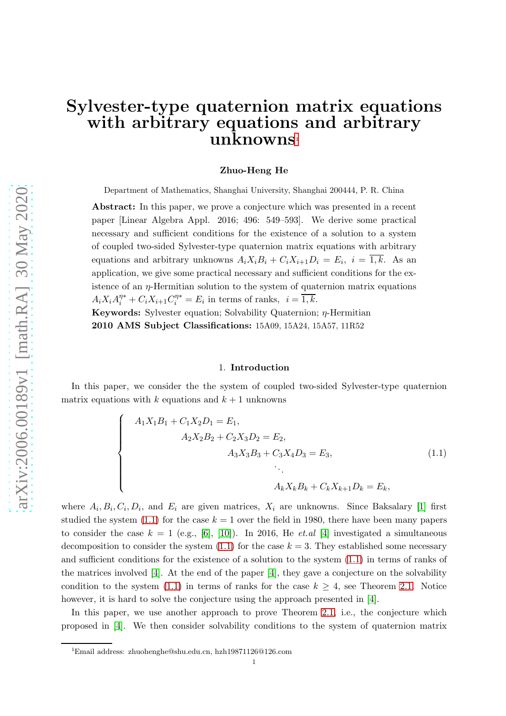# Sylvester-type quaternion matrix equations with arbitrary equations and arbitrary unknowns<sup>[1](#page-0-0)</sup>

#### Zhuo-Heng He

Department of Mathematics, Shanghai University, Shanghai 200444, P. R. China

Abstract: In this paper, we prove a conjecture which was presented in a recent paper [Linear Algebra Appl. 2016; 496: 549–593]. We derive some practical necessary and sufficient conditions for the existence of a solution to a system of coupled two-sided Sylvester-type quaternion matrix equations with arbitrary equations and arbitrary unknowns  $A_i X_i B_i + C_i X_{i+1} D_i = E_i$ ,  $i = 1, k$ . As an application, we give some practical necessary and sufficient conditions for the existence of an  $\eta$ -Hermitian solution to the system of quaternion matrix equations  $A_i X_i A_i^{\eta*} + C_i X_{i+1} C_i^{\eta*} = E_i$  in terms of ranks,  $i = \overline{1, k}$ .

Keywords: Sylvester equation; Solvability Quaternion; η-Hermitian 2010 AMS Subject Classifications: 15A09, 15A24, 15A57, 11R52

#### <span id="page-0-1"></span>1. Introduction

In this paper, we consider the the system of coupled two-sided Sylvester-type quaternion matrix equations with k equations and  $k + 1$  unknowns

$$
\begin{cases}\nA_1X_1B_1 + C_1X_2D_1 = E_1, \\
A_2X_2B_2 + C_2X_3D_2 = E_2, \\
A_3X_3B_3 + C_3X_4D_3 = E_3, \\
\vdots \\
A_kX_kB_k + C_kX_{k+1}D_k = E_k,\n\end{cases}
$$
\n(1.1)

where  $A_i, B_i, C_i, D_i$ , and  $E_i$  are given matrices,  $X_i$  are unknowns. Since Baksalary [\[1\]](#page-21-0) first studied the system  $(1.1)$  for the case  $k = 1$  over the field in 1980, there have been many papers to consider the case  $k = 1$  (e.g., [\[6\]](#page-22-0), [\[10\]](#page-22-1)). In 2016, He *et.al* [\[4\]](#page-21-1) investigated a simultaneous decomposition to consider the system  $(1.1)$  for the case  $k = 3$ . They established some necessary and sufficient conditions for the existence of a solution to the system [\(1.1\)](#page-0-1) in terms of ranks of the matrices involved [\[4\]](#page-21-1). At the end of the paper [\[4\]](#page-21-1), they gave a conjecture on the solvability condition to the system [\(1.1\)](#page-0-1) in terms of ranks for the case  $k \geq 4$ , see Theorem [2.1.](#page-1-0) Notice however, it is hard to solve the conjecture using the approach presented in [\[4\]](#page-21-1).

In this paper, we use another approach to prove Theorem [2.1,](#page-1-0) i.e., the conjecture which proposed in [\[4\]](#page-21-1). We then consider solvability conditions to the system of quaternion matrix

<span id="page-0-0"></span><sup>1</sup>Email address: zhuohenghe@shu.edu.cn, hzh19871126@126.com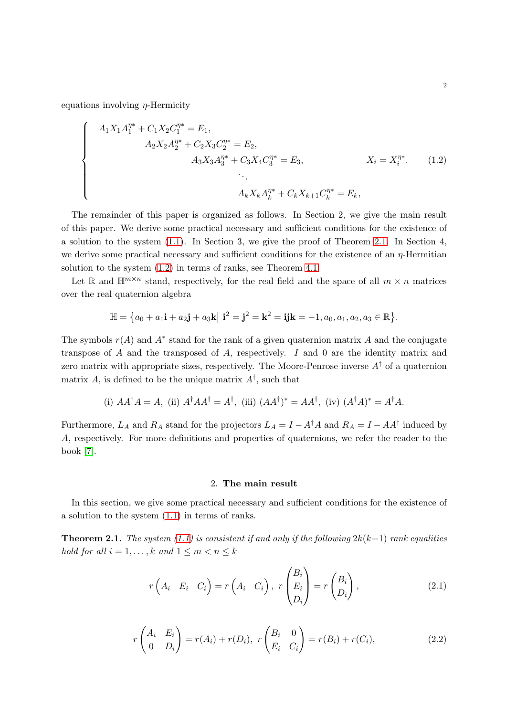equations involving  $\eta$ -Hermicity

<span id="page-1-1"></span>
$$
\begin{cases}\nA_1 X_1 A_1^{\eta *} + C_1 X_2 C_1^{\eta *} = E_1, \\
A_2 X_2 A_2^{\eta *} + C_2 X_3 C_2^{\eta *} = E_2, \\
A_3 X_3 A_3^{\eta *} + C_3 X_4 C_3^{\eta *} = E_3, \\
\vdots \\
A_k X_k A_k^{\eta *} + C_k X_{k+1} C_k^{\eta *} = E_k,\n\end{cases} \quad X_i = X_i^{\eta *}.
$$
\n(1.2)

The remainder of this paper is organized as follows. In Section 2, we give the main result of this paper. We derive some practical necessary and sufficient conditions for the existence of a solution to the system [\(1.1\)](#page-0-1). In Section 3, we give the proof of Theorem [2.1.](#page-1-0) In Section 4, we derive some practical necessary and sufficient conditions for the existence of an  $\eta$ -Hermitian solution to the system [\(1.2\)](#page-1-1) in terms of ranks, see Theorem [4.1.](#page-20-0)

Let R and  $\mathbb{H}^{m \times n}$  stand, respectively, for the real field and the space of all  $m \times n$  matrices over the real quaternion algebra

$$
\mathbb{H} = \{a_0 + a_1 \mathbf{i} + a_2 \mathbf{j} + a_3 \mathbf{k} | \mathbf{i}^2 = \mathbf{j}^2 = \mathbf{k}^2 = \mathbf{i} \mathbf{j} \mathbf{k} = -1, a_0, a_1, a_2, a_3 \in \mathbb{R} \}.
$$

The symbols  $r(A)$  and  $A^*$  stand for the rank of a given quaternion matrix A and the conjugate transpose of A and the transposed of A, respectively. I and 0 are the identity matrix and zero matrix with appropriate sizes, respectively. The Moore-Penrose inverse  $A^{\dagger}$  of a quaternion matrix A, is defined to be the unique matrix  $A^{\dagger}$ , such that

(i) 
$$
AA^{\dagger}A = A
$$
, (ii)  $A^{\dagger}AA^{\dagger} = A^{\dagger}$ , (iii)  $(AA^{\dagger})^* = AA^{\dagger}$ , (iv)  $(A^{\dagger}A)^* = A^{\dagger}A$ .

Furthermore,  $L_A$  and  $R_A$  stand for the projectors  $L_A = I - A^{\dagger}A$  and  $R_A = I - AA^{\dagger}$  induced by A, respectively. For more definitions and properties of quaternions, we refer the reader to the book [\[7\]](#page-22-2).

#### <span id="page-1-3"></span><span id="page-1-2"></span>2. The main result

In this section, we give some practical necessary and sufficient conditions for the existence of a solution to the system [\(1.1\)](#page-0-1) in terms of ranks.

<span id="page-1-0"></span>**Theorem 2.1.** *The system* [\(1.1\)](#page-0-1) *is consistent if and only if the following*  $2k(k+1)$  *rank equalities hold for all*  $i = 1, ..., k$  *and*  $1 \leq m < n \leq k$ 

$$
r\left(A_i \quad E_i \quad C_i\right) = r\left(A_i \quad C_i\right), \ r\left(\begin{matrix} B_i \\ E_i \\ D_i\end{matrix}\right) = r\left(\begin{matrix} B_i \\ D_i\end{matrix}\right), \tag{2.1}
$$

$$
r\begin{pmatrix} A_i & E_i \\ 0 & D_i \end{pmatrix} = r(A_i) + r(D_i), \ r\begin{pmatrix} B_i & 0 \\ E_i & C_i \end{pmatrix} = r(B_i) + r(C_i), \tag{2.2}
$$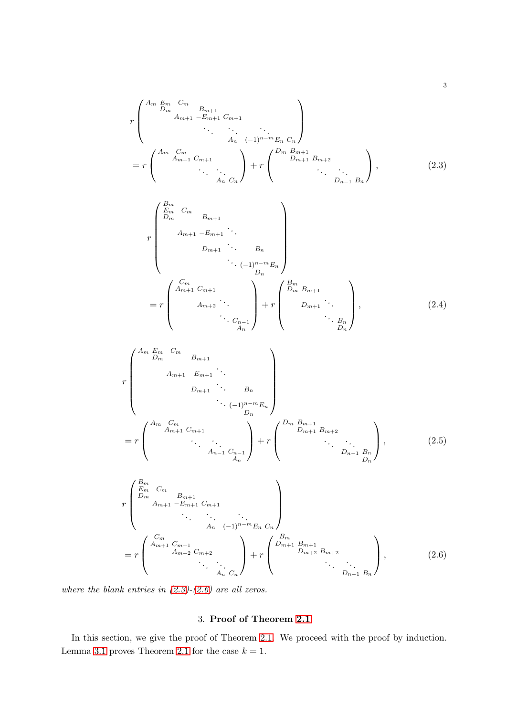r Am Em Cm D<sup>m</sup> Bm+1 Am+1 −Em+1 Cm+1 *. . . . . . . . .* A<sup>n</sup> (−1)n−mE<sup>n</sup> C<sup>n</sup> = r Am Cm Am+1 Cm+1 *. . . . . .* An Cn + r D<sup>m</sup> Bm+1 Dm+1 Bm+2 *. . . . . .* Dn−<sup>1</sup> B<sup>n</sup> , (2.3)

<span id="page-2-2"></span><span id="page-2-0"></span>
$$
r\begin{pmatrix}B_m & C_m & & & & \\ E_m & C_m & & & & \\ D_m & B_{m+1} & \cdot & & & \\ & & & & & \\ & & & & & \\ & & & & & \\ & & & & & \\ & & & & & \\ & & & & & \\ & & & & & \\ & & & & & \\ & & & & & \\ & & & & & \\ & & & & & \\ & & & & & \\ & & & & & \\ & & & & & \\ & & & & & \\ & & & & & \\ & & & & & \\ & & & & & \\ & & & & & \\ & & & & & \\ & & & & & \\ & & & & & \\ & & & & & \\ & & & & & \\ & & & & & \\ & & & & & \\ & & & & & \\ & & & & & \\ & & & & & \\ & & & & & \\ & & & & & & \\ & & & & & & \\ & & & & & & \\ & & & & & & \\ & & & & & & \\ & & & & & & \\ & & & & & & \\ & & & & & & \\ & & & & & & \\ & & & & & & \\ & & & & & &
$$

r Am Em Cm D<sup>m</sup> Bm+1 Am+1 −Em+1 *. . .* Dm+1 *. . .* <sup>B</sup><sup>n</sup> *. . .* (−1)n−mE<sup>n</sup> Dn = r Am Cm Am+1 Cm+1 *. . . . . .* An−<sup>1</sup> Cn−<sup>1</sup> An <sup>+</sup> <sup>r</sup> D<sup>m</sup> Bm+1 Dm+1 Bm+2 *. . . . . .* Dn−<sup>1</sup> B<sup>n</sup> Dn , (2.5)

$$
r\begin{pmatrix}B_m & C_m & & & & \\ E_m & C_m & B_{m+1} & C_{m+1} & & \\ & A_{m+1} & -E_{m+1} & C_{m+1} & & \\ & \ddots & \ddots & \ddots & \ddots & \\ & A_n & (-1)^{n-m} E_n & C_n \end{pmatrix}
$$
\n
$$
= r\begin{pmatrix}C_m & & & & & \\ A_{m+1} & C_{m+1} & & & \\ & A_{m+2} & C_{m+2} & & \\ & \ddots & \ddots & \ddots & \\ & \ddots & \ddots & \ddots & \\ & & A_n & C_n \end{pmatrix} + r\begin{pmatrix}B_m & & & & & \\ D_{m+1} & B_{m+1} & & & \\ & D_{m+2} & B_{m+2} & & \\ & \ddots & \ddots & \ddots & \\ & & D_{n-1} & B_n \end{pmatrix},\tag{2.6}
$$

*where the blank entries in [\(2.3\)](#page-2-0)-[\(2.6\)](#page-2-1) are all zeros.*

### <span id="page-2-3"></span><span id="page-2-1"></span>3. Proof of Theorem [2.1](#page-1-0)

In this section, we give the proof of Theorem [2.1.](#page-1-0) We proceed with the proof by induction. Lemma [3.1](#page-3-0) proves Theorem [2.1](#page-1-0) for the case  $k = 1$ .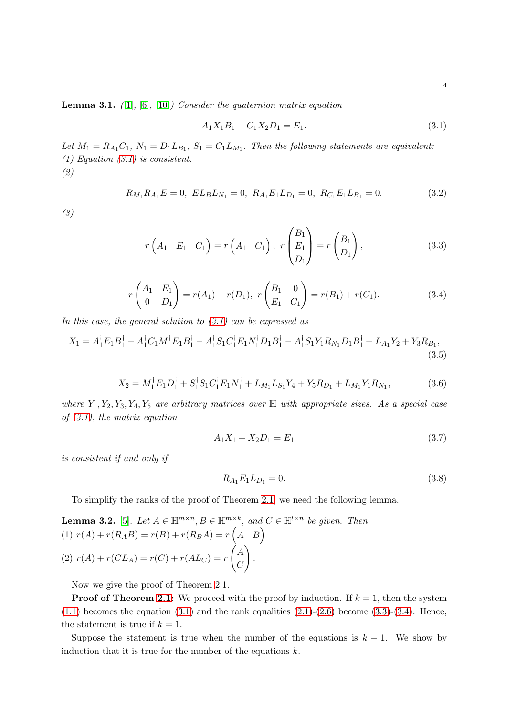<span id="page-3-0"></span>Lemma 3.1. *(*[\[1\]](#page-21-0)*,* [\[6\]](#page-22-0)*,* [\[10\]](#page-22-1)*) Consider the quaternion matrix equation*

<span id="page-3-2"></span><span id="page-3-1"></span>
$$
A_1 X_1 B_1 + C_1 X_2 D_1 = E_1. \tag{3.1}
$$

Let  $M_1 = R_{A_1}C_1$ ,  $N_1 = D_1L_{B_1}$ ,  $S_1 = C_1L_{M_1}$ . Then the following statements are equivalent: *(1) Equation [\(3.1\)](#page-3-1) is consistent. (2)*

$$
R_{M_1}R_{A_1}E = 0, EL_BL_{N_1} = 0, R_{A_1}E_1L_{D_1} = 0, R_{C_1}E_1L_{B_1} = 0.
$$
\n(3.2)

*(3)*

$$
r(A_1 \t E_1 \t C_1) = r(A_1 \t C_1), \r \begin{pmatrix} B_1 \\ E_1 \\ D_1 \end{pmatrix} = r \begin{pmatrix} B_1 \\ D_1 \end{pmatrix},
$$
 (3.3)

$$
r\begin{pmatrix} A_1 & E_1 \\ 0 & D_1 \end{pmatrix} = r(A_1) + r(D_1), \ r\begin{pmatrix} B_1 & 0 \\ E_1 & C_1 \end{pmatrix} = r(B_1) + r(C_1). \tag{3.4}
$$

*In this case, the general solution to [\(3.1\)](#page-3-1) can be expressed as*

$$
X_1 = A_1^{\dagger} E_1 B_1^{\dagger} - A_1^{\dagger} C_1 M_1^{\dagger} E_1 B_1^{\dagger} - A_1^{\dagger} S_1 C_1^{\dagger} E_1 N_1^{\dagger} D_1 B_1^{\dagger} - A_1^{\dagger} S_1 Y_1 R_{N_1} D_1 B_1^{\dagger} + L_{A_1} Y_2 + Y_3 R_{B_1},\tag{3.5}
$$

$$
X_2 = M_1^{\dagger} E_1 D_1^{\dagger} + S_1^{\dagger} S_1 C_1^{\dagger} E_1 N_1^{\dagger} + L_{M_1} L_{S_1} Y_4 + Y_5 R_{D_1} + L_{M_1} Y_1 R_{N_1},\tag{3.6}
$$

*where* Y1, Y2, Y3, Y4, Y<sup>5</sup> *are arbitrary matrices over* H *with appropriate sizes. As a special case of [\(3.1\)](#page-3-1), the matrix equation*

<span id="page-3-3"></span>
$$
A_1 X_1 + X_2 D_1 = E_1 \tag{3.7}
$$

*is consistent if and only if*

<span id="page-3-5"></span><span id="page-3-4"></span>
$$
R_{A_1}E_1L_{D_1} = 0.\t\t(3.8)
$$

To simplify the ranks of the proof of Theorem [2.1,](#page-1-0) we need the following lemma.

<span id="page-3-6"></span>**Lemma 3.2.** [5]. Let 
$$
A \in \mathbb{H}^{m \times n}
$$
,  $B \in \mathbb{H}^{m \times k}$ , and  $C \in \mathbb{H}^{l \times n}$  be given. Then  
\n(1)  $r(A) + r(R_A B) = r(B) + r(R_B A) = r(A \mid B)$ .  
\n(2)  $r(A) + r(C L_A) = r(C) + r(A L_C) = r\begin{pmatrix} A \\ C \end{pmatrix}$ .

Now we give the proof of Theorem [2.1.](#page-1-0)

**Proof of Theorem [2.1:](#page-1-0)** We proceed with the proof by induction. If  $k = 1$ , then the system  $(1.1)$  becomes the equation  $(3.1)$  and the rank equalities  $(2.1)-(2.6)$  $(2.1)-(2.6)$  become  $(3.3)-(3.4)$  $(3.3)-(3.4)$ . Hence, the statement is true if  $k = 1$ .

Suppose the statement is true when the number of the equations is  $k - 1$ . We show by induction that it is true for the number of the equations  $k$ .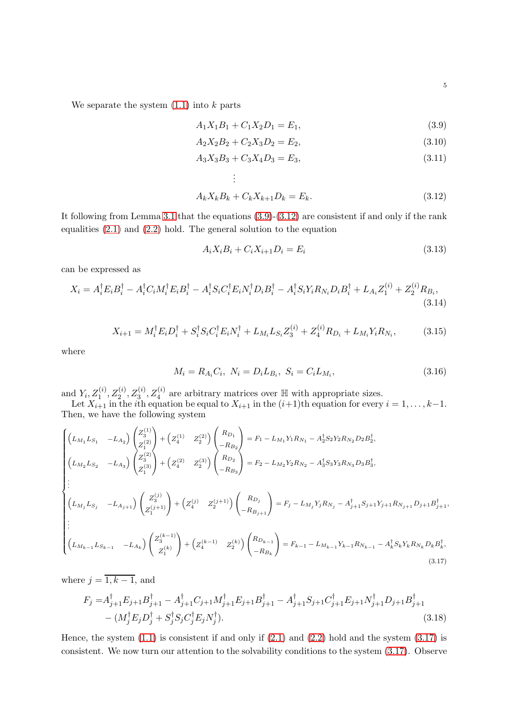We separate the system  $(1.1)$  into k parts

<span id="page-4-0"></span>
$$
A_1 X_1 B_1 + C_1 X_2 D_1 = E_1,\tag{3.9}
$$

$$
A_2 X_2 B_2 + C_2 X_3 D_2 = E_2, \t\t(3.10)
$$

$$
A_3 X_3 B_3 + C_3 X_4 D_3 = E_3,\tag{3.11}
$$

<span id="page-4-1"></span>
$$
\vdots
$$
  

$$
A_k X_k B_k + C_k X_{k+1} D_k = E_k.
$$
 (3.12)

It following from Lemma [3.1](#page-3-0) that the equations [\(3.9\)](#page-4-0)-[\(3.12\)](#page-4-1) are consistent if and only if the rank equalities [\(2.1\)](#page-1-2) and [\(2.2\)](#page-1-3) hold. The general solution to the equation

$$
A_i X_i B_i + C_i X_{i+1} D_i = E_i \tag{3.13}
$$

can be expressed as

$$
X_i = A_i^{\dagger} E_i B_i^{\dagger} - A_i^{\dagger} C_i M_i^{\dagger} E_i B_i^{\dagger} - A_i^{\dagger} S_i C_i^{\dagger} E_i N_i^{\dagger} D_i B_i^{\dagger} - A_i^{\dagger} S_i Y_i R_{N_i} D_i B_i^{\dagger} + L_{A_i} Z_1^{(i)} + Z_2^{(i)} R_{B_i},
$$
\n(3.14)

$$
X_{i+1} = M_i^{\dagger} E_i D_i^{\dagger} + S_i^{\dagger} S_i C_i^{\dagger} E_i N_i^{\dagger} + L_{M_i} L_{S_i} Z_3^{(i)} + Z_4^{(i)} R_{D_i} + L_{M_i} Y_i R_{N_i},\tag{3.15}
$$

where

$$
M_i = R_{A_i} C_i, \ N_i = D_i L_{B_i}, \ S_i = C_i L_{M_i}, \tag{3.16}
$$

and  $Y_i, Z_1^{(i)}, Z_2^{(i)}, Z_3^{(i)}, Z_4^{(i)}$  are arbitrary matrices over  $\mathbb H$  with appropriate sizes.

<span id="page-4-3"></span><span id="page-4-2"></span> $\mathcal{L}^{\mathcal{L}}$ 

Let  $X_{i+1}$  in the *i*th equation be equal to  $X_{i+1}$  in the  $(i+1)$ th equation for every  $i = 1, \ldots, k-1$ . Then, we have the following system

$$
\begin{cases}\n\left(L_{M_1}L_{S_1} - L_{A_2}\right) \begin{pmatrix} Z_3^{(1)} \\ Z_1^{(2)} \end{pmatrix} + \left(Z_4^{(1)} \quad Z_2^{(2)}\right) \begin{pmatrix} R_{D_1} \\ -R_{B_2} \end{pmatrix} = F_1 - L_{M_1}Y_1R_{N_1} - A_2^{\dagger}S_2Y_2R_{N_2}D_2B_2^{\dagger}, \\
\left(L_{M_2}L_{S_2} \quad -L_{A_3}\right) \begin{pmatrix} Z_3^{(2)} \\ Z_1^{(3)} \end{pmatrix} + \left(Z_4^{(2)} \quad Z_2^{(3)}\right) \begin{pmatrix} R_{D_2} \\ -R_{B_3} \end{pmatrix} = F_2 - L_{M_2}Y_2R_{N_2} - A_3^{\dagger}S_3Y_3R_{N_3}D_3B_3^{\dagger}, \\
\vdots \\
\left(L_{M_j}L_{S_j} \quad -L_{A_{j+1}}\right) \begin{pmatrix} Z_3^{(j)} \\ Z_1^{(j+1)} \end{pmatrix} + \left(Z_4^{(j)} \quad Z_2^{(j+1)}\right) \begin{pmatrix} R_{D_j} \\ -R_{B_{j+1}} \end{pmatrix} = F_j - L_{M_j}Y_jR_{N_j} - A_{j+1}^{\dagger}S_{j+1}Y_{j+1}R_{N_{j+1}}D_{j+1}B_{j+1}^{\dagger}, \\
\vdots \\
\left(L_{M_{k-1}}L_{S_{k-1}} \quad -L_{A_k}\right) \begin{pmatrix} Z_3^{(k-1)} \\ Z_1^{(k)} \end{pmatrix} + \left(Z_4^{(k-1)} \quad Z_2^{(k)}\right) \begin{pmatrix} R_{D_{k-1}} \\ -R_{B_k} \end{pmatrix} = F_{k-1} - L_{M_{k-1}}Y_{k-1}R_{N_{k-1}} - A_k^{\dagger}S_kY_kR_{N_k}D_kB_k^{\dagger}, \\
\end{cases}
$$
\n(3.17)

where  $j = \overline{1, k-1}$ , and

$$
F_j = A_{j+1}^{\dagger} E_{j+1} B_{j+1}^{\dagger} - A_{j+1}^{\dagger} C_{j+1} M_{j+1}^{\dagger} E_{j+1} B_{j+1}^{\dagger} - A_{j+1}^{\dagger} S_{j+1} C_{j+1}^{\dagger} E_{j+1} N_{j+1}^{\dagger} D_{j+1} B_{j+1}^{\dagger} - (M_j^{\dagger} E_j D_j^{\dagger} + S_j^{\dagger} S_j C_j^{\dagger} E_j N_j^{\dagger}).
$$
\n(3.18)

Hence, the system  $(1.1)$  is consistent if and only if  $(2.1)$  and  $(2.2)$  hold and the system  $(3.17)$  is consistent. We now turn our attention to the solvability conditions to the system [\(3.17\)](#page-4-2). Observe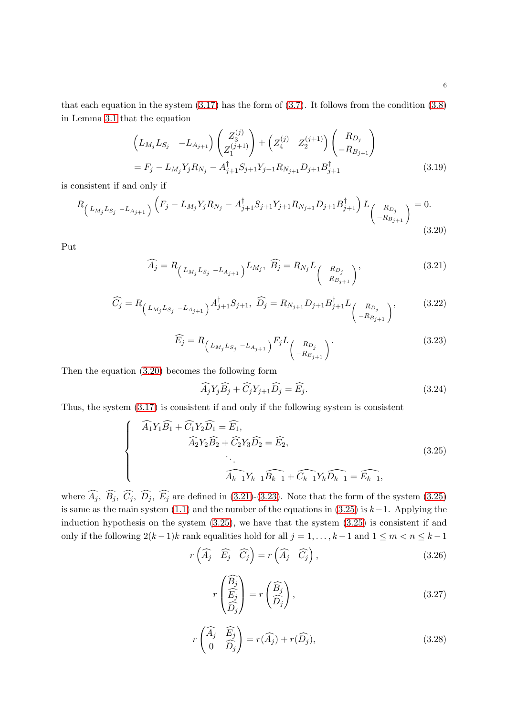that each equation in the system  $(3.17)$  has the form of  $(3.7)$ . It follows from the condition  $(3.8)$ in Lemma [3.1](#page-3-0) that the equation

$$
\left(L_{M_j}L_{S_j} - L_{A_{j+1}}\right) \begin{pmatrix} Z_3^{(j)} \\ Z_1^{(j+1)} \end{pmatrix} + \left(Z_4^{(j)} \quad Z_2^{(j+1)}\right) \begin{pmatrix} R_{D_j} \\ -R_{B_{j+1}} \end{pmatrix}
$$
  
=  $F_j - L_{M_j}Y_jR_{N_j} - A_{j+1}^{\dagger}S_{j+1}Y_{j+1}R_{N_{j+1}}D_{j+1}B_{j+1}^{\dagger}$  (3.19)

is consistent if and only if

$$
R_{\left(L_{M_j}L_{S_j} - L_{A_{j+1}}\right)}\left(F_j - L_{M_j}Y_jR_{N_j} - A_{j+1}^{\dagger}S_{j+1}Y_{j+1}R_{N_{j+1}}D_{j+1}B_{j+1}^{\dagger}\right)L_{\begin{pmatrix}R_{D_j}\\-R_{B_{j+1}}\end{pmatrix}} = 0.
$$
\n(3.20)

Put

$$
\widehat{A_j} = R_{\left(L_{M_j} L_{S_j} - L_{A_{j+1}}\right)} L_{M_j}, \quad \widehat{B_j} = R_{N_j} L_{\left(\begin{array}{c} R_{D_j} \\ -R_{B_{j+1}} \end{array}\right)}, \tag{3.21}
$$

$$
\widehat{C}_j = R_{\left(L_{M_j}L_{S_j} - L_{A_{j+1}}\right)} A_{j+1}^{\dagger} S_{j+1}, \ \widehat{D}_j = R_{N_{j+1}} D_{j+1} B_{j+1}^{\dagger} L_{\left(R_{D_j} \atop -R_{B_{j+1}}\right)}, \tag{3.22}
$$

<span id="page-5-0"></span>
$$
\widehat{E_j} = R_{\left(L_{M_j} L_{S_j} - L_{A_{j+1}}\right)} F_j L_{\left(\begin{array}{c} R_{D_j} \\ -R_{B_{j+1}} \end{array}\right)}.
$$
\n(3.23)

Then the equation [\(3.20\)](#page-5-0) becomes the following form

<span id="page-5-3"></span><span id="page-5-2"></span><span id="page-5-1"></span>
$$
\widehat{A}_j Y_j \widehat{B}_j + \widehat{C}_j Y_{j+1} \widehat{D}_j = \widehat{E}_j. \tag{3.24}
$$

Thus, the system [\(3.17\)](#page-4-2) is consistent if and only if the following system is consistent

$$
\begin{cases}\n\widehat{A}_1 Y_1 \widehat{B}_1 + \widehat{C}_1 Y_2 \widehat{D}_1 = \widehat{E}_1, \\
\widehat{A}_2 Y_2 \widehat{B}_2 + \widehat{C}_2 Y_3 \widehat{D}_2 = \widehat{E}_2, \\
& \dots \\
\widehat{A}_{k-1} Y_{k-1} \widehat{B}_{k-1} + \widehat{C}_{k-1} Y_k \widehat{D}_{k-1} = \widehat{E}_{k-1},\n\end{cases}
$$
\n(3.25)

where  $\widehat{A}_j$ ,  $\widehat{B}_j$ ,  $\widehat{C}_j$ ,  $\widehat{D}_j$ ,  $\widehat{E}_j$  are defined in [\(3.21\)](#page-5-1)-[\(3.23\)](#page-5-2). Note that the form of the system [\(3.25\)](#page-5-3) is same as the main system [\(1.1\)](#page-0-1) and the number of the equations in [\(3.25\)](#page-5-3) is  $k-1$ . Applying the induction hypothesis on the system [\(3.25\)](#page-5-3), we have that the system [\(3.25\)](#page-5-3) is consistent if and only if the following  $2(k-1)k$  rank equalities hold for all  $j = 1, ..., k-1$  and  $1 \leq m < n \leq k-1$ 

$$
r\left(\widehat{A}_j \quad \widehat{E}_j \quad \widehat{C}_j\right) = r\left(\widehat{A}_j \quad \widehat{C}_j\right),\tag{3.26}
$$

<span id="page-5-6"></span><span id="page-5-5"></span><span id="page-5-4"></span>
$$
r\begin{pmatrix} \widehat{B_j} \\ \widehat{E_j} \\ \widehat{D_j} \end{pmatrix} = r\begin{pmatrix} \widehat{B_j} \\ \widehat{D_j} \end{pmatrix},\tag{3.27}
$$

$$
r\begin{pmatrix} \widehat{A}_j & \widehat{E}_j \\ 0 & \widehat{D}_j \end{pmatrix} = r(\widehat{A}_j) + r(\widehat{D}_j),\tag{3.28}
$$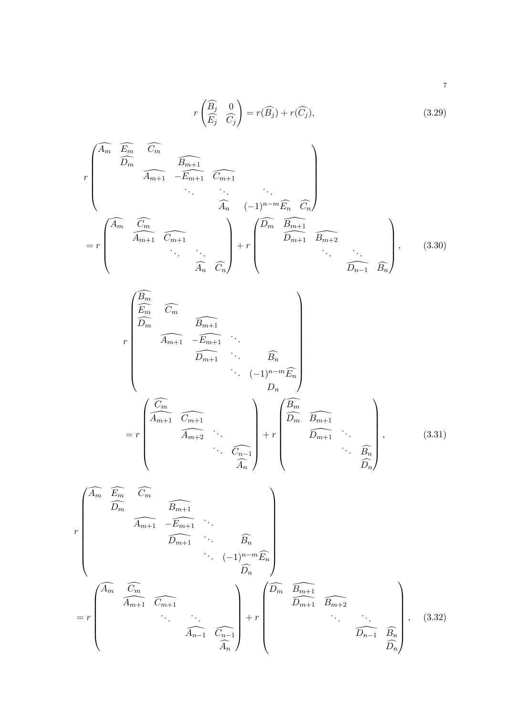<span id="page-6-1"></span><span id="page-6-0"></span>
$$
r\begin{pmatrix} \widehat{B}_j & 0\\ \widehat{E}_j & \widehat{C}_j \end{pmatrix} = r(\widehat{B}_j) + r(\widehat{C}_j),\tag{3.29}
$$

$$
r\begin{pmatrix}\n\widehat{A_m} & \widehat{E_m} & \widehat{C_m} \\
\widehat{D_m} & \widehat{A_{m+1}} & -\widehat{E_{m+1}} & \widehat{C_{m+1}} \\
& \ddots & \ddots & \ddots \\
& & \widehat{A_n} & (-1)^{n-m}\widehat{E_n} & \widehat{C_n} \\
& & \widehat{A_m} & (-1)^{n-m}\widehat{E_n} & \widehat{C_n}\n\end{pmatrix}
$$
\n
$$
= r\begin{pmatrix}\n\widehat{A_m} & \widehat{C_m} & & \\
& \widehat{A_{m+1}} & \widehat{C_{m+1}} & \\
& & \ddots & \ddots \\
& & & \widehat{A_n} & \widehat{C_n}\n\end{pmatrix} + r\begin{pmatrix}\n\widehat{D_m} & \widehat{B_{m+1}} & & & \\
& \widehat{D_{m+1}} & \widehat{B_{m+2}} & \\
& & & \ddots & \ddots \\
& & & & \widehat{D_{n-1}} & \widehat{B_n}\n\end{pmatrix},
$$
\n(3.30)

<span id="page-6-2"></span>
$$
r\begin{pmatrix}\n\widehat{E_m} & \widehat{C_m} & & & \\
\widehat{E_m} & \widehat{C_m} & & & \\
& \widehat{D_m} & \widehat{B_{m+1}} & \\
& & \widehat{D_{m+1}} & \\
& & & \widehat{D_{m+1}} & \\
& & & & \widehat{D_n}\n\end{pmatrix}
$$
\n
$$
= r\begin{pmatrix}\n\widehat{C_m} & & & \\
\widehat{A_{m+1}} & \widehat{C_{m+1}} & & \\
& & & \widehat{D_n} \\
& & & \widehat{A_{m+2}} & \dots \\
& & & & \widehat{C_{n-1}} \\
& & & & & \widehat{A_n}\n\end{pmatrix} + r\begin{pmatrix}\n\widehat{B_m} & & & & \\
\widehat{D_m} & \widehat{B_{m+1}} & & & \\
& & & \widehat{D_{m+1}} & \\
& & & & \widehat{D_n}\n\end{pmatrix},
$$
\n(3.31)

<span id="page-6-3"></span>
$$
r \begin{pmatrix} \widehat{A_m} & \widehat{E_m} & \widehat{C_m} \\ \widehat{D_m} & & \widehat{B_{m+1}} & \widehat{E_{m+1}} & \widehat{B_n} \\ & & \widehat{D_{m+1}} & \widehat{B_n} \\ & & & \ddots & \widehat{D_n} \end{pmatrix}
$$
  
= 
$$
r \begin{pmatrix} \widehat{A_m} & \widehat{C_m} & & & \\ & \widehat{A_{m+1}} & \widehat{C_{m+1}} & & \\ & & \ddots & \ddots & \\ & & & \widehat{A_{n-1}} & \widehat{C_{n-1}} \\ & & & & \widehat{A_n} \end{pmatrix} + r \begin{pmatrix} \widehat{D_m} & \widehat{B_{m+1}} & & & \\ & \widehat{D_{m+1}} & \widehat{B_{m+2}} & & \\ & & \ddots & \ddots & \\ & & & & \widehat{D_{n-1}} & \widehat{B_n} \\ & & & & & \widehat{D_n} \end{pmatrix},
$$
(3.32)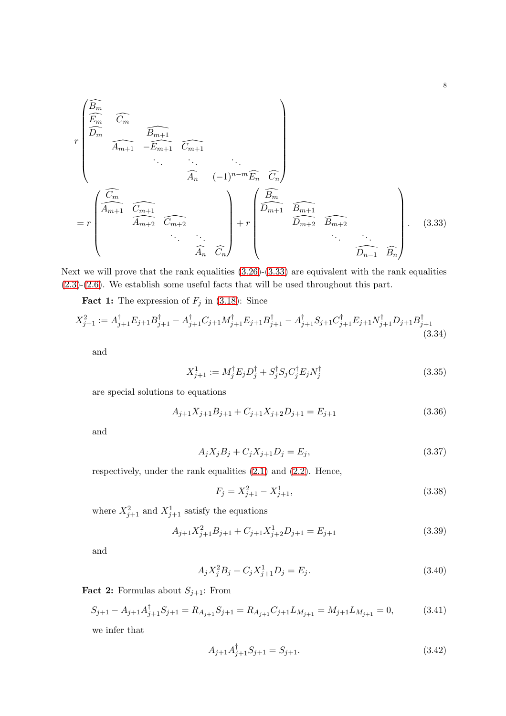$$
r\begin{pmatrix}\n\widehat{E_m} & \widehat{C_m} & & & \\
\widehat{E_m} & \widehat{C_m} & & & \\
& \widehat{A_{m+1}} & -\widehat{E_{m+1}} & \widehat{C_{m+1}} & \\
& \ddots & \ddots & \ddots & \\
& & \widehat{A_n} & (-1)^{n-m}\widehat{E_n} & \widehat{C_n}\n\end{pmatrix}
$$
\n
$$
= r\begin{pmatrix}\n\widehat{C_m} & & & \\
\widehat{A_{m+1}} & \widehat{C_{m+1}} & & \\
& \widehat{A_{m+2}} & \widehat{C_{m+2}} & \\
& \ddots & \ddots & \\
& & \widehat{A_n} & \widehat{C_n}\n\end{pmatrix} + r\begin{pmatrix}\n\widehat{B_m} & & & \\
\widehat{D_{m+1}} & \widehat{B_{m+1}} & & \\
& \widehat{D_{m+2}} & \widehat{B_{m+2}} & \\
& \ddots & \ddots & \ddots \\
& & & \widehat{D_{n-1}} & \widehat{B_n}\n\end{pmatrix}.
$$
\n(3.33)

Next we will prove that the rank equalities  $(3.26)-(3.33)$  $(3.26)-(3.33)$  are equivalent with the rank equalities [\(2.3\)](#page-2-0)-[\(2.6\)](#page-2-1). We establish some useful facts that will be used throughout this part.

**Fact 1:** The expression of  $F_j$  in [\(3.18\)](#page-4-3): Since

$$
X_{j+1}^2 := A_{j+1}^\dagger E_{j+1} B_{j+1}^\dagger - A_{j+1}^\dagger C_{j+1} M_{j+1}^\dagger E_{j+1} B_{j+1}^\dagger - A_{j+1}^\dagger S_{j+1} C_{j+1}^\dagger E_{j+1} N_{j+1}^\dagger D_{j+1} B_{j+1}^\dagger
$$
\n(3.34)

and

<span id="page-7-0"></span>
$$
X_{j+1}^1 := M_j^\dagger E_j D_j^\dagger + S_j^\dagger S_j C_j^\dagger E_j N_j^\dagger \tag{3.35}
$$

are special solutions to equations

$$
A_{j+1}X_{j+1}B_{j+1} + C_{j+1}X_{j+2}D_{j+1} = E_{j+1}
$$
\n(3.36)

and

$$
A_j X_j B_j + C_j X_{j+1} D_j = E_j,
$$
\n(3.37)

respectively, under the rank equalities [\(2.1\)](#page-1-2) and [\(2.2\)](#page-1-3). Hence,

<span id="page-7-4"></span><span id="page-7-3"></span><span id="page-7-2"></span>
$$
F_j = X_{j+1}^2 - X_{j+1}^1,\tag{3.38}
$$

where  $X_{j+1}^2$  and  $X_{j+1}^1$  satisfy the equations

$$
A_{j+1}X_{j+1}^2B_{j+1} + C_{j+1}X_{j+2}^1D_{j+1} = E_{j+1}
$$
\n(3.39)

and

$$
A_j X_j^2 B_j + C_j X_{j+1}^1 D_j = E_j.
$$
\n(3.40)

**Fact 2:** Formulas about  $S_{j+1}$ : From

$$
S_{j+1} - A_{j+1}A_{j+1}^{\dagger}S_{j+1} = R_{A_{j+1}}S_{j+1} = R_{A_{j+1}}C_{j+1}L_{M_{j+1}} = M_{j+1}L_{M_{j+1}} = 0,
$$
\n(3.41)

we infer that

<span id="page-7-1"></span>
$$
A_{j+1}A_{j+1}^{\dagger}S_{j+1} = S_{j+1}.
$$
\n(3.42)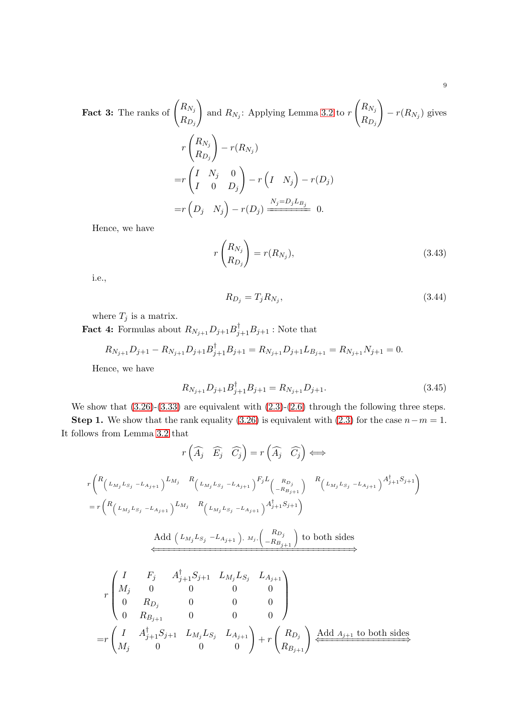**Fact 3:** The ranks of 
$$
\begin{pmatrix} R_{N_j} \\ R_{D_j} \end{pmatrix}
$$
 and  $R_{N_j}$ : Applying Lemma 3.2 to  $r \begin{pmatrix} R_{N_j} \\ R_{D_j} \end{pmatrix} - r(R_{N_j})$  gives  
\n
$$
r \begin{pmatrix} R_{N_j} \\ R_{D_j} \end{pmatrix} - r(R_{N_j})
$$
\n
$$
= r \begin{pmatrix} I & N_j & 0 \\ I & 0 & D_j \end{pmatrix} - r \begin{pmatrix} I & N_j \end{pmatrix} - r(D_j)
$$
\n
$$
= r \begin{pmatrix} D_j & N_j \end{pmatrix} - r(D_j) \xrightarrow{N_j = D_j L_{B_j}} 0.
$$

Hence, we have

$$
r\begin{pmatrix} R_{N_j} \\ R_{D_j} \end{pmatrix} = r(R_{N_j}),\tag{3.43}
$$

i.e.,

<span id="page-8-2"></span><span id="page-8-1"></span><span id="page-8-0"></span>
$$
R_{D_j} = T_j R_{N_j},\tag{3.44}
$$

where  $T_j$  is a matrix.

**Fact 4:** Formulas about  $R_{N_{j+1}}D_{j+1}B_{j+1}^{\dagger}B_{j+1}$ : Note that

$$
R_{N_{j+1}}D_{j+1} - R_{N_{j+1}}D_{j+1}B_{j+1}^{\dagger}B_{j+1} = R_{N_{j+1}}D_{j+1}L_{B_{j+1}} = R_{N_{j+1}}N_{j+1} = 0.
$$

Hence, we have

$$
R_{N_{j+1}}D_{j+1}B_{j+1}^{\dagger}B_{j+1} = R_{N_{j+1}}D_{j+1}.
$$
\n(3.45)

We show that  $(3.26)-(3.33)$  $(3.26)-(3.33)$  are equivalent with  $(2.3)-(2.6)$  $(2.3)-(2.6)$  through the following three steps.

Step 1. We show that the rank equality [\(3.26\)](#page-5-4) is equivalent with [\(2.3\)](#page-2-0) for the case  $n-m=1$ . It follows from Lemma [3.2](#page-3-6) that

$$
r\left(\widehat{A}_{j}\quad \widehat{E}_{j}\quad \widehat{C}_{j}\right) = r\left(\widehat{A}_{j}\quad \widehat{C}_{j}\right) \Longleftrightarrow
$$
\n
$$
r\left(\begin{matrix}\nR_{\left(L_{M_{j}}L_{S_{j}}-L_{A_{j+1}}\right)}L_{M_{j}} & R_{\left(L_{M_{j}}L_{S_{j}}-L_{A_{j+1}}\right)}F_{j}L_{\left(\begin{matrix}R_{D_{j}}\\-R_{B_{j+1}}\end{matrix}\right)} & R_{\left(L_{M_{j}}L_{S_{j}}-L_{A_{j+1}}\right)}A_{j+1}^{\dagger}S_{j+1}\right)\n\end{matrix}
$$
\n
$$
= r\left(\begin{matrix}\nR_{\left(L_{M_{j}}L_{S_{j}}-L_{A_{j+1}}\right)}L_{M_{j}} & R_{\left(L_{M_{j}}L_{S_{j}}-L_{A_{j+1}}\right)}A_{j+1}^{\dagger}S_{j+1}\n\end{matrix}\right)
$$
\nAdd  $\left(L_{M_{j}}L_{S_{j}}-L_{A_{j+1}}\right), M_{j}, \left(\begin{matrix}R_{D_{j}}\\-R_{B_{j+1}}\end{matrix}\right)$  to both sides\n
$$
\begin{matrix}\nI & F_{j} & A_{j+1}^{\dagger}S_{j+1} & L_{M_{j}}L_{S_{j}} & L_{A_{j+1}} \\
M_{j} & 0 & 0 & 0 \\
0 & R_{D_{j}} & 0 & 0 \\
0 & R_{B_{j+1}} & 0 & 0\n\end{matrix}\right)
$$
\n
$$
= r\left(\begin{matrix}\nI & A_{j+1}^{\dagger}S_{j+1} & L_{M_{j}}L_{S_{j}} & L_{A_{j+1}} \\
M_{j} & 0 & 0 & 0\n\end{matrix}\right) + r\left(\begin{matrix}\nR_{D_{j}}\\R_{D_{j}}\end{matrix}\right) \xrightarrow{Add A_{j+1} \text{ to both sides}}
$$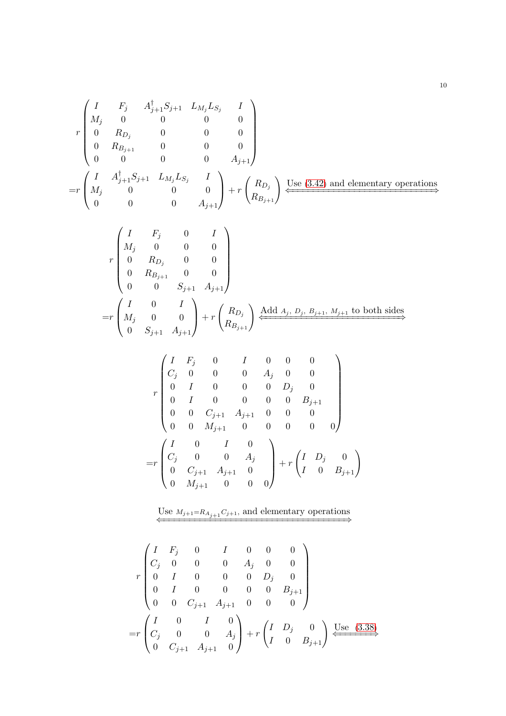$$
r\begin{pmatrix} I & F_j & A_{j+1}^{\dagger}S_{j+1} & L_{M_j}L_{S_j} & I \\ M_j & 0 & 0 & 0 & 0 \\ 0 & R_{D_j} & 0 & 0 & 0 \\ 0 & R_{B_{j+1}} & 0 & 0 & 0 \\ 0 & 0 & 0 & 0 & A_{j+1} \end{pmatrix}
$$
  
=
$$
r\begin{pmatrix} I & A_{j+1}^{\dagger}S_{j+1} & L_{M_j}L_{S_j} & I \\ M_j & 0 & 0 & 0 \\ 0 & 0 & 0 & A_{j+1} \end{pmatrix} + r\begin{pmatrix} R_{D_j} \\ R_{B_{j+1}} \end{pmatrix} \xrightarrow{\text{Use (3.42) and elementary operations}}
$$

$$
r \begin{pmatrix} I & F_j & 0 & I \\ M_j & 0 & 0 & 0 \\ 0 & R_{D_j} & 0 & 0 \\ 0 & R_{B_{j+1}} & 0 & 0 \\ 0 & 0 & S_{j+1} & A_{j+1} \end{pmatrix}
$$
  
=
$$
r \begin{pmatrix} I & 0 & I \\ M_j & 0 & 0 \\ 0 & S_{j+1} & A_{j+1} \end{pmatrix} + r \begin{pmatrix} R_{D_j} \\ R_{B_{j+1}} \end{pmatrix} \xleftarrow{\text{Add } A_j, D_j, B_{j+1}, M_{j+1} \text{ to both sides}} \longrightarrow
$$

$$
r \begin{pmatrix} I & F_j & 0 & I & 0 & 0 & 0 \\ C_j & 0 & 0 & 0 & A_j & 0 & 0 \\ 0 & I & 0 & 0 & 0 & D_j & 0 \\ 0 & I & 0 & 0 & 0 & 0 & B_{j+1} \\ 0 & 0 & C_{j+1} & A_{j+1} & 0 & 0 & 0 \\ 0 & 0 & M_{j+1} & 0 & 0 & 0 & 0 \end{pmatrix}
$$

$$
= r \begin{pmatrix} I & 0 & I & 0 \\ C_j & 0 & 0 & A_j \\ 0 & C_{j+1} & A_{j+1} & 0 \\ 0 & M_{j+1} & 0 & 0 & 0 \end{pmatrix} + r \begin{pmatrix} I & D_j & 0 \\ I & 0 & B_{j+1} \end{pmatrix}
$$

Use  $M_{j+1}=R_{A_{j+1}}C_{j+1}$ , and elementary operations

$$
r \begin{pmatrix} I & F_j & 0 & I & 0 & 0 & 0 \\ C_j & 0 & 0 & 0 & A_j & 0 & 0 \\ 0 & I & 0 & 0 & 0 & D_j & 0 \\ 0 & I & 0 & 0 & 0 & 0 & B_{j+1} \\ 0 & 0 & C_{j+1} & A_{j+1} & 0 & 0 & 0 \end{pmatrix}
$$
  
=
$$
r \begin{pmatrix} I & 0 & I & 0 \\ C_j & 0 & 0 & A_j \\ 0 & C_{j+1} & A_{j+1} & 0 \end{pmatrix} + r \begin{pmatrix} I & D_j & 0 \\ I & 0 & B_{j+1} \end{pmatrix} \xrightarrow{\text{Use (3.38)}}
$$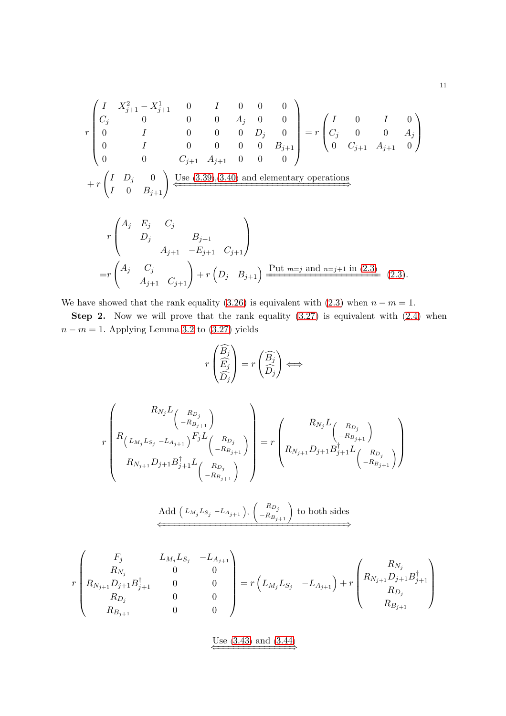$$
r\begin{pmatrix} I & X_{j+1}^2 - X_{j+1}^1 & 0 & I & 0 & 0 & 0 \\ C_j & 0 & 0 & 0 & A_j & 0 & 0 \\ 0 & I & 0 & 0 & 0 & D_j & 0 \\ 0 & I & 0 & 0 & 0 & 0 & B_{j+1} \\ 0 & 0 & C_{j+1} & A_{j+1} & 0 & 0 & 0 \end{pmatrix} = r\begin{pmatrix} I & 0 & I & 0 \\ C_j & 0 & 0 & A_j \\ 0 & C_{j+1} & A_{j+1} & 0 \end{pmatrix}
$$

$$
+ r\begin{pmatrix} I & D_j & 0 \\ I & 0 & B_{j+1} \end{pmatrix} \xrightarrow{\text{Use (3.39),(3.40) and elementary operations}}
$$

$$
r \begin{pmatrix} A_j & E_j & C_j \\ D_j & B_{j+1} \\ A_{j+1} & -E_{j+1} & C_{j+1} \end{pmatrix}
$$
\n
$$
= r \begin{pmatrix} A_j & C_j \\ A_{j+1} & C_{j+1} \end{pmatrix} + r \begin{pmatrix} D_j & B_{j+1} \end{pmatrix} \xrightarrow{\text{Put } m=j \text{ and } n=j+1 \text{ in (2.3)}} (2.3).
$$

We have showed that the rank equality [\(3.26\)](#page-5-4) is equivalent with [\(2.3\)](#page-2-0) when  $n - m = 1$ .

Step 2. Now we will prove that the rank equality  $(3.27)$  is equivalent with  $(2.4)$  when  $n - m = 1$ . Applying Lemma [3.2](#page-3-6) to [\(3.27\)](#page-5-5) yields

$$
r\begin{pmatrix}\widehat{B_j} \\
\widehat{E_j} \\
\widehat{D_j}\end{pmatrix} = r\begin{pmatrix}\widehat{B_j} \\
\widehat{D_j}\end{pmatrix} \Longleftrightarrow
$$

$$
r\left(R_{N_{j}}L_{\begin{pmatrix}R_{D_{j}}\\L_{M_{j}}L_{S_{j}}-L_{A_{j+1}}\end{pmatrix}}^{R_{N_{j}}L_{\begin{pmatrix}R_{D_{j}}\\-R_{B_{j+1}}\end{pmatrix}}}\right) = r\left(R_{N_{j}}L_{\begin{pmatrix}R_{D_{j}}\\-R_{B_{j+1}}\end{pmatrix}}^{R_{N_{j}}L_{\begin{pmatrix}R_{D_{j}}\\-R_{B_{j+1}}\end{pmatrix}}}\right)
$$

Add 
$$
(L_{M_j}L_{S_j} - L_{A_{j+1}}), (\begin{pmatrix} R_{D_j} \\ -R_{B_{j+1}} \end{pmatrix})
$$
 to both sides

$$
r\begin{pmatrix} F_j & L_{M_j}L_{S_j} & -L_{A_{j+1}} \ R_{N_j} & 0 & 0 \ R_{N_{j+1}}D_{j+1}B_{j+1}^{\dagger} & 0 & 0 \ R_{D_j} & 0 & 0 \ R_{B_{j+1}} & 0 & 0 \end{pmatrix} = r\begin{pmatrix} R_{M_j}L_{S_j} & -L_{A_{j+1}} \end{pmatrix} + r\begin{pmatrix} R_{N_j} & R_{N_j} \ R_{N_{j+1}}D_{j+1}B_{j+1}^{\dagger} \\ R_{D_j} & 0 \\ R_{B_{j+1}} \end{pmatrix}
$$

Use  $(3.43)$  $(3.43)$  $(3.43)$  and  $(3.44)$  $(3.44)$  $(3.44)$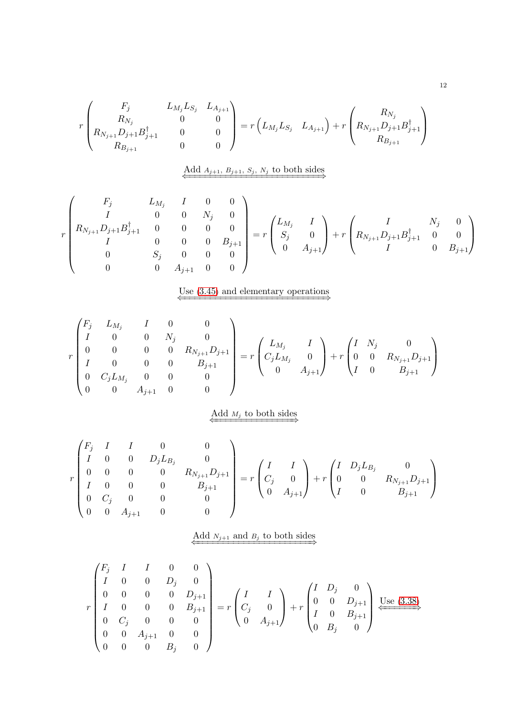$$
r\begin{pmatrix}F_j & L_{M_j}L_{S_j} & L_{A_{j+1}}\\R_{N_j} & 0 & 0\\R_{N_{j+1}}D_{j+1} & 0 & 0\\R_{B_{j+1}} & 0 & 0\end{pmatrix} = r\begin{pmatrix}E \\L_{M_j}L_{S_j} & L_{A_{j+1}}\end{pmatrix} + r\begin{pmatrix}R_{N_j} & R_{N_j} & 0\\R_{N_{j+1}}D_{j+1}B_{j+1}^{\dagger}\\R_{B_{j+1}} & 0\end{pmatrix}
$$

Add 
$$
A_{j+1}, B_{j+1}, S_j, N_j
$$
 to both sides

$$
r\begin{pmatrix}F_j & L_{M_j} & I & 0 & 0\\ I & 0 & 0 & N_j & 0\\ R_{N_{j+1}}D_{j+1}B_{j+1}^{\dagger} & 0 & 0 & 0 & 0\\ I & 0 & 0 & 0 & B_{j+1}\\ 0 & S_j & 0 & 0 & 0\\ 0 & 0 & A_{j+1} & 0 & 0\end{pmatrix} = r\begin{pmatrix}L_{M_j} & I\\ S_j & 0\\ 0 & A_{j+1}\end{pmatrix} + r\begin{pmatrix}I & N_j & 0\\ R_{N_{j+1}}D_{j+1}B_{j+1}^{\dagger} & 0 & 0\\ I & 0 & B_{j+1}\end{pmatrix}
$$

# Use  $(3.45)$  $(3.45)$  $(3.45)$  and elementary operations

$$
r\begin{pmatrix}F_j & L_{M_j} & I & 0 & 0 \I & 0 & 0 & N_j & 0 \0 & 0 & 0 & 0 & R_{N_{j+1}}D_{j+1} \I & 0 & 0 & 0 & B_{j+1} \0 & C_jL_{M_j} & 0 & 0 & 0 \0 & 0 & A_{j+1} & 0 & 0 \end{pmatrix} = r\begin{pmatrix}L_{M_j} & I \C_jL_{M_j} & 0 \0 & A_{j+1} \end{pmatrix} + r\begin{pmatrix}I & N_j & 0 \0 & 0 & R_{N_{j+1}}D_{j+1} \I & 0 & B_{j+1} \end{pmatrix}
$$

### $\overbrace{\longleftarrow{\text{Add } M_j \text{ to both sides}}}$

$$
r\begin{pmatrix}F_j & I & I & 0 & 0\\ I & 0 & 0 & D_jL_{B_j} & 0\\ 0 & 0 & 0 & 0 & R_{N_{j+1}}D_{j+1}\\ I & 0 & 0 & 0 & B_{j+1}\\ 0 & C_j & 0 & 0 & 0\\ 0 & 0 & A_{j+1} & 0 & 0\end{pmatrix}=r\begin{pmatrix}I & I\\ C_j & 0\\ 0 & A_{j+1}\end{pmatrix}+r\begin{pmatrix}I & D_jL_{B_j} & 0\\ 0 & 0 & R_{N_{j+1}}D_{j+1}\\ I & 0 & B_{j+1}\end{pmatrix}
$$

### $\overbrace{\longleftarrow}$  Add  $N_{j+1}$  and  $B_j$  to both sides

$$
r\begin{pmatrix}F_j & I & I & 0 & 0\\ I & 0 & 0 & D_j & 0\\ 0 & 0 & 0 & 0 & D_{j+1}\\ I & 0 & 0 & 0 & B_{j+1}\\ 0 & C_j & 0 & 0 & 0\\ 0 & 0 & A_{j+1} & 0 & 0\\ 0 & 0 & 0 & B_j & 0\end{pmatrix} = r\begin{pmatrix}I & I\\ C_j & 0\\ 0 & A_{j+1}\end{pmatrix} + r\begin{pmatrix}I & D_j & 0\\ 0 & 0 & D_{j+1}\\ I & 0 & B_{j+1}\\ 0 & B_j & 0\end{pmatrix} \xrightarrow{\text{Use (3.38)}}
$$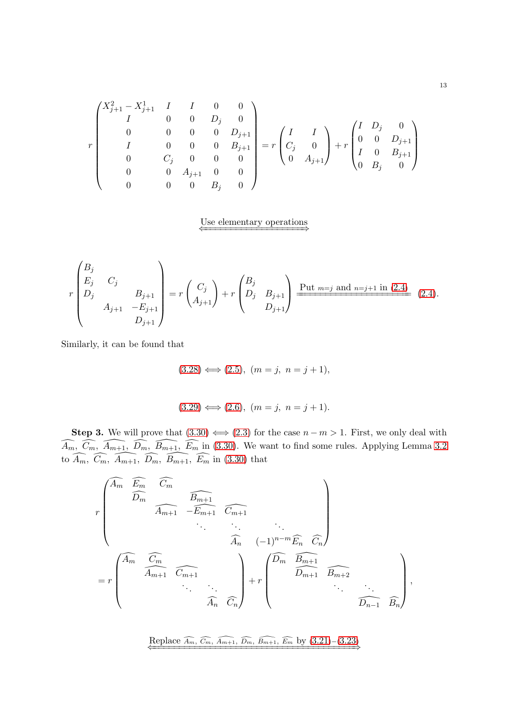$$
r\begin{pmatrix} X_{j+1}^2-X_{j+1}^1&I&I&0&0\\ I&0&0&D_j&0\\ 0&0&0&0&D_{j+1}\\ I&0&0&0&B_{j+1}\\ 0&C_j&0&0&0\\ 0&0&A_{j+1}&0&0\\ 0&0&0&B_j&0\end{pmatrix}=r\begin{pmatrix} I&I\\ C_j&0\\ 0&A_{j+1}\end{pmatrix}+r\begin{pmatrix} I&D_j&0\\ 0&0&D_{j+1}\\ I&0&B_{j+1}\\ 0&B_j&0\end{pmatrix}
$$

### Use elementary operations

$$
r\begin{pmatrix} B_j & & \\ E_j & C_j & \\ D_j & & B_{j+1} \\ & A_{j+1} & -E_{j+1} \\ & & D_{j+1} \end{pmatrix} = r\begin{pmatrix} C_j \\ A_{j+1} \end{pmatrix} + r\begin{pmatrix} B_j & & \\ D_j & B_{j+1} \\ & & D_{j+1} \end{pmatrix} \xrightarrow{\text{Put } m=j \text{ and } n=j+1 \text{ in (2.4)}} (2.4).
$$

Similarly, it can be found that

$$
(3.28) \iff (2.5), (m = j, n = j + 1),
$$

$$
(3.29) \Longleftrightarrow (2.6), (m = j, n = j + 1).
$$

Step 3. We will prove that  $(3.30) \iff (2.3)$  $(3.30) \iff (2.3)$  for the case  $n - m > 1$ . First, we only deal with  $\widehat{A_m}$ ,  $\widehat{C_m}$ ,  $\widehat{A_{m+1}}$ ,  $\widehat{D_m}$ ,  $\widehat{B_{m+1}}$ ,  $\widehat{E_m}$  in [\(3.30\)](#page-6-1). We want to find some rules. Applying Lemma [3.2](#page-3-6) to  $\widehat{A_m}$ ,  $\widehat{C_m}$ ,  $\widehat{A_{m+1}}$ ,  $\widehat{D_m}$ ,  $\widehat{B_{m+1}}$ ,  $\widehat{E_m}$  in [\(3.30\)](#page-6-1) that

$$
r\begin{pmatrix}\n\widehat{A_m} & \widehat{E_m} & \widehat{C_m} \\
\widehat{D_m} & \widehat{A_{m+1}} & -\widehat{E_{m+1}} & \widehat{C_{m+1}} \\
& \ddots & \ddots & \ddots \\
& & \widehat{A_n} & (-1)^{n-m}\widehat{E_n} & \widehat{C_n} \\
& & \widehat{A_m} & \widehat{C_m} \\
\end{pmatrix}
$$
\n
$$
= r \begin{pmatrix}\n\widehat{A_m} & \widehat{C_m} & & \\
& \widehat{A_{m+1}} & \widehat{C_{m+1}} & \\
& & \ddots & \ddots \\
& & & \widehat{A_n} & \widehat{C_n}\n\end{pmatrix} + r \begin{pmatrix}\n\widehat{D_m} & \widehat{B_{m+1}} & & & \\
& \widehat{D_{m+1}} & \widehat{B_{m+2}} & \\
& & & \ddots \\
& & & & \widehat{D_{n-1}} & \widehat{B_n}\n\end{pmatrix},
$$

Replace  $\widehat{A_m}$ ,  $\widehat{C_m}$ ,  $\widehat{A_{m+1}}$ ,  $\widehat{D_m}$ ,  $\widehat{B_{m+1}}$ ,  $\widehat{E_m}$  by  $(3.21)-(3.23)$  $(3.21)-(3.23)$  $(3.21)-(3.23)$  $(3.21)-(3.23)$  $(3.21)-(3.23)$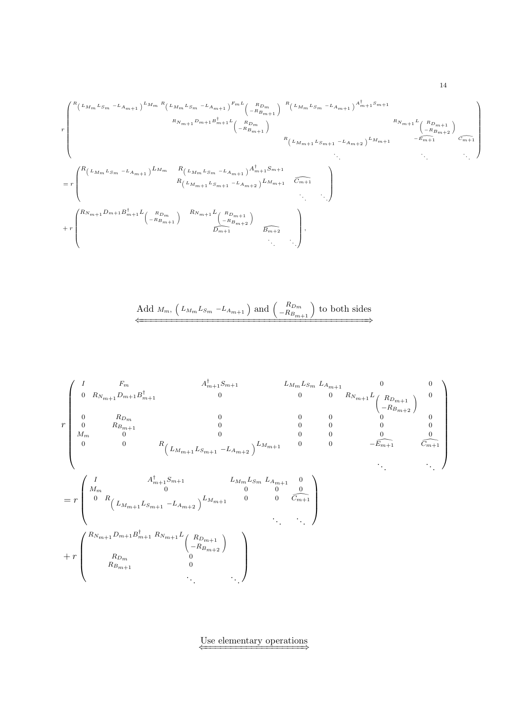$$
r \left(\n\begin{array}{c}\nR\left(L_{Mm}L_{Sm} - L_{Am+1}\right)^{L_{Mm}R}\left(L_{Mm}L_{Sm} - L_{Am+1}\right)^{Fm}L\left(\n\begin{array}{c}\nR_{Dm} \\
-R_{Bm+1}\n\end{array}\n\right)^{R}\left(L_{Mm}L_{Sm} - L_{Am+1}\right)^{A_{m+1}^{\dagger}Sm+1} \\
R_{N_{m+1}L}L_{(R_{Dm})} \\
\hline\n\end{array}\n\right)_{R_{N_{m+1}L}L_{(R_{Dm})}R_{N_{m+1}L_{(R_{Dm})}+N_{m+1}L_{(R_{Dm})}+N_{m+1}L_{(R_{Dm})+N_{m+1}L_{(R_{Dm})+N_{m+1}L_{(R_{Dm})+N_{m+1}L_{(R_{Dm})+N_{m+1}L_{(R_{Dm})+N_{m+1}L_{(R_{Dm})+N_{m+1}L_{(R_{Dm})+N_{m+1}L_{(R_{Dm})+N_{m+1}L_{(R_{Dm})+N_{m+1}L_{(R_{Dm})+N_{m+1}L_{(R_{Dm})+N_{m+1}L_{(R_{Dm})+N_{m+1}L_{(R_{Dm})+N_{m+1}L_{(R_{Dm})+N_{m+1}L_{(R_{Dm})+N_{m+1}L_{(R_{Dm})+N_{m+1}L_{(R_{Dm})+N_{m+1}L_{(R_{Dm})+N_{m+1}L_{(R_{Dm})+N_{m+1}L_{(R_{Dm})+N_{m+1}L_{(R_{Dm})+N_{m+1}L_{(R_{Dm})+N_{m+1}L_{(R_{Dm})+N_{m+1}L_{(R_{Dm})+N_{m+1}L_{(R_{Dm})+N_{m+1}L_{(R_{Dm})+N_{m+1}L_{(R_{Dm})+N_{m+1}L_{(R_{Dm})+N_{m+1}L_{(R_{Dm})+N_{m+1}L_{(R_{Dm})+N_{m+1}L_{(R_{Dm})+N_{m+1}L_{(R_{Dm})+N_{m+1}L_{(R_{Dm})+N_{m+1}L_{(R_{Dm})+N_{m+1}L_{(R_{Dm})+
$$

Add 
$$
M_m
$$
,  $\left(L_{M_m}L_{Sm} - L_{A_{m+1}}\right)$  and  $\left(\begin{array}{c} R_{D_m} \\ -R_{B_{m+1}} \end{array}\right)$  to both sides

$$
r \begin{pmatrix} I & F_m & A_{m+1}^{\dagger} S_{m+1} & L_{M_m} L_{S_m} L_{A_{m+1}} & 0 & 0 \\ 0 & R_{N_{m+1}} D_{m+1} B_{m+1}^{\dagger} & 0 & 0 & 0 & R_{N_{m+1}} L_{\begin{pmatrix} R_{D_{m+1}} \\ -R_{B_{m+2}} \end{pmatrix}} & 0 \\ 0 & R_{D_m} & 0 & 0 & 0 & 0 & 0 \\ M_m & 0 & 0 & 0 & 0 & 0 & 0 \\ 0 & 0 & R_{\begin{pmatrix} L_{M_{m+1}} L_{S_{m+1}} - L_{A_{m+2}} \end{pmatrix}} L_{M_{m+1}} & 0 & 0 & -\widetilde{E_{m+1}} & \widetilde{C_{m+1}} \\ -\widetilde{E_{m+1}} & \widetilde{C_{m+1}} & 0 \\ 0 & 0 & 0 & 0 & 0 & 0 \\ 0 & 0 & R_{\begin{pmatrix} L_{M_{m+1}} L_{S_{m+1}} - L_{A_{m+2}} \end{pmatrix}} L_{M_{m+1}} & 0 & 0 & \widetilde{C_{m+1}} \\ 0 & 0 & 0 & 0 & 0 \\ 0 & R_{\begin{pmatrix} L_{M_{m+1}} L_{S_{m+1}} - L_{A_{m+2}} \end{pmatrix}} L_{M_{m+1}} & 0 & 0 & \widetilde{C_{m+1}} \\ 0 & 0 & 0 & \widetilde{C_{m+1}} \\ 0 & 0 & 0 & 0 & 0 \\ 0 & 0 & 0 & 0 & 0 \\ 0 & 0 & 0 & 0 & 0 \\ 0 & 0 & 0 & 0 & 0 \\ 0 & 0 & 0 & 0 & 0 \\ 0 & 0 & 0 & 0 & 0 \\ 0 & 0 & 0 & 0 & 0 \\ 0 & 0 & 0 & 0 & 0 \\ 0 & 0 & 0 & 0 & 0 \\ 0 & 0 & 0 & 0 & 0 \\ 0 & 0 & 0 & 0 & 0 \\ 0 & 0 & 0 & 0 & 0 \\ 0 & 0 & 0 & 0 & 0 \\ 0 & 0 & 0 & 0 & 0 \\ 0 & 0 & 0 & 0 & 0 \\ 0 & 0 & 0 & 0 & 0 \\ 0 & 0 & 0 & 0 & 0 \\ 0 & 0 & 0 & 0 & 0
$$

Use elementary operations <br> $\xleftarrow{\hspace{15mm}}$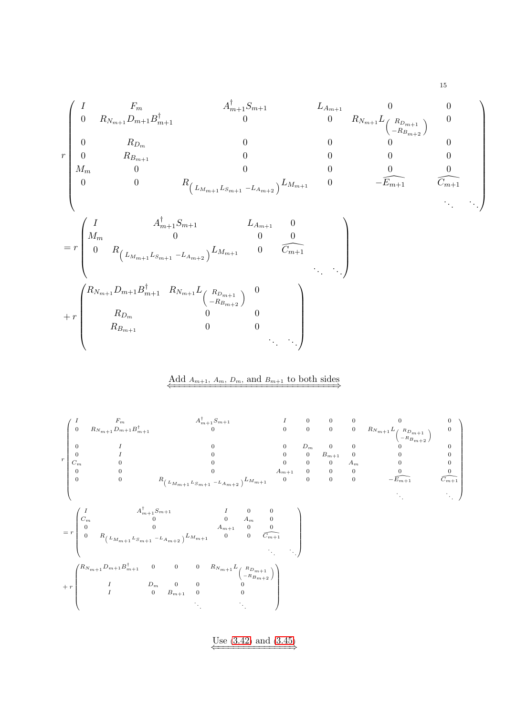$$
\begin{pmatrix}\nI & F_m & A_{m+1}^{\dagger} S_{m+1} & L_{A_{m+1}} & 0 & 0 \\
0 & R_{N_{m+1}} D_{m+1} B_{m+1}^{\dagger} & 0 & 0 & R_{N_{m+1}} L_{\left(\begin{array}{c} R_{D_{m+1}} \\ R_{D_{m+2}} \end{array}\right)} & 0 \\
\begin{array}{cccccc}\n0 & R_{D_m} & 0 & 0 & 0 & 0 \\
0 & R_{B_{m+1}} & 0 & 0 & 0 & 0 \\
0 & 0 & R_{\left(\begin{array}{c} L_{M_{m+1}} L_{S_{m+1}} - L_{A_{m+2}} \end{array}\right)} L_{M_{m+1}} & 0 & -\overline{E_{m+1}} & \overline{C_{m+1}} \\
\end{array} \\
= r \begin{pmatrix}\nI & A_{m+1}^{\dagger} S_{m+1} & L_{A_{m+1}} & 0 & 0 & 0 \\
0 & R_{\left(\begin{array}{c} L_{M_{m+1}} L_{S_{m+1}} - L_{A_{m+2}} \end{array}\right)} L_{M_{m+1}} & 0 & \overline{C_{m+1}} \\
\vdots & \vdots & \ddots & \ddots\n\end{array} \\
+ r \begin{pmatrix}\nR_{N_{m+1}} D_{m+1} B_{m+1}^{\dagger} & R_{N_{m+1}} L_{\left(\begin{array}{c} R_{D_{m+1}} \\ R_{D_{m}} \end{array}\right)} & 0 & 0 & 0 \\
R_{B_{m+1}} & 0 & 0 & 0 \\
\end{pmatrix} & \begin{array}{c}\n\ddots & \ddots \\
\ddots & \ddots\n\end{array}\n\end{pmatrix}
$$

### Add  $A_{m+1}$ ,  $A_m$ ,  $D_m$ , and  $B_{m+1}$  to both sides



Use  $(3.42)$  $(3.42)$  $(3.42)$  and  $(3.45)$  $(3.45)$  $(3.45)$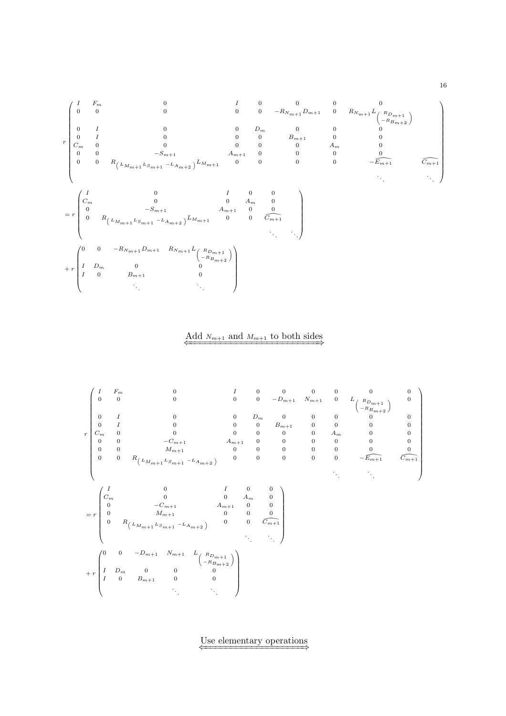

 $\overline{\text{Add } N_{m+1} \text{ and } M_{m+1} \text{ to both sides}}$ 



Use elementary operations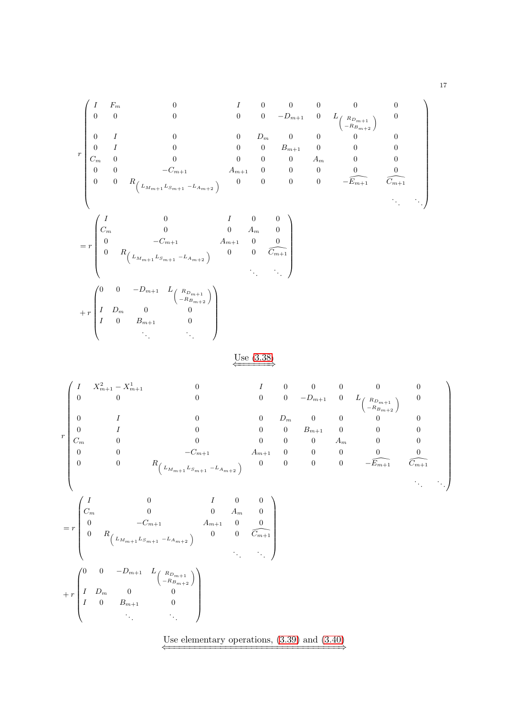$$
r \begin{pmatrix} I & F_m & 0 & I & 0 & 0 & 0 & 0 & 0 \\ 0 & 0 & 0 & 0 & -D_{m+1} & 0 & L_{R_{D_{m+1}}} & 0 \\ 0 & I & 0 & 0 & 0 & D_m & 0 & 0 & 0 & 0 \\ 0 & I & 0 & 0 & 0 & 0 & B_{m+1} & 0 & 0 & 0 \\ C_m & 0 & 0 & 0 & 0 & 0 & 0 & A_m & 0 & 0 \\ 0 & 0 & -C_{m+1} & A_{m+1} & 0 & 0 & 0 & 0 & 0 \\ 0 & 0 & R_{L_{M_{m+1}}L_{S_{m+1}}-L_{A_{m+2}}} & 0 & 0 & 0 & 0 & -\widetilde{E_{m+1}} & \widetilde{C_{m+1}} \\ \end{pmatrix}
$$
  
= 
$$
r \begin{pmatrix} I & 0 & I & 0 & 0 \\ C_m & 0 & 0 & A_m & 0 \\ 0 & -C_{m+1} & A_{m+1} & 0 & 0 \\ 0 & R_{L_{M_{m+1}}L_{S_{m+1}}-L_{A_{m+2}}} & 0 & 0 & \widetilde{C_{m+1}} \\ 0 & R_{L_{M_{m+1}}L_{S_{m+1}}-L_{A_{m+2}}} & \ddots & \ddots \end{pmatrix}
$$
  
+ 
$$
r \begin{pmatrix} 0 & 0 & -D_{m+1} & L_{R_{D_{m+1}}} \\ I & D_m & 0 & 0 \\ I & 0 & B_{m+1} & 0 \\ \vdots & \vdots & \ddots & \ddots \end{pmatrix}
$$

## $\frac{\text{Use } (3.38)}{}$  $\frac{\text{Use } (3.38)}{}$  $\frac{\text{Use } (3.38)}{}$

$$
r\begin{pmatrix}I&X_{m+1}^{2}-X_{m+1}^{1}&&0&I&0&0&0&0&0\\0&0&0&0&0&-D_{m+1}&0&L_{\left(\begin{array}{c}R_{D_{m+1}}\\-R_{B_{m+2}}\end{array}\right)}&0\\0&I&0&0&D_{m}&0&0&0&0\\0&I&0&0&0&B_{m+1}&0&0&0\\C_{m}&0&0&0&0&A_{m}&0&0\\0&0&-C_{m+1}&A_{m+1}&0&0&0&0\\0&0&0&R_{\left(\begin{array}{c}L_{M_{m+1}}L_{S_{m+1}}-L_{A_{m+2}}\end{array}\right)}&0&0&0&0&0&0\\0&0&0&0&0&0&0\\0&0&0&A_{m}&0&0&0\\0&-C_{m+1}&A_{m+1}&0&0&0\\0&0&0&A_{m}&0&0\\0&R_{\left(\begin{array}{c}L_{M_{m+1}}L_{S_{m+1}}-L_{A_{m+2}}\end{array}\right)}&0&0&0&0&0\\0&0&0&0&0&0\\0&0&0&0&0&0\\0&0&0&0&0&0\\0&0&0&0&0&0\\0&0&0&0&0&0\\0&0&0&0&0&0\\0&0&0&0&0&0\\0&0&0&0&0&0\\0&0&0&0&0&0\\0&0&0&0&0&0\\0&0&0&0&0&0\\0&0&0&0&0&0\\0&0&0&0&0&0\\0&0&0&0&0&0\\0&0&0&0&0&0\\0&0&0&0&0&0\\0&0&0&0&0&0\\0&0&0&0&0&0\\0&0&0&0&0&0\\0&0&0&0&0&0\\0&0&0&0&0&0\\0&0&0&0&0&0\\0&0&0&0&0&0\\0&0&0&0&0&0\\0&0&0&0&0&0\\0&0&0&0&0&0\\0&0&0&0&0&0\\0&0&0&0&0&0\\0&0&0&0&0&0\\0&0&0&0&0&0\\0&0&0&0&0&0\\0&0&0&0&0&0\\0&0&0&0&0
$$

 $\begin{pmatrix} 0 & 0 & -D_{m+1} & L_{\begin{pmatrix} R_{D_{m+1}} \\ -R_{B_{m+2}} \end{pmatrix}} \end{pmatrix}$  $I$   $D_m$  0 0  $I \qquad 0 \qquad B_{m+1} \qquad \qquad 0$ . . . . . .  $\overline{\phantom{a}}$ 

 $\overline{ }$ 

 $+ r$ 

 $\begin{array}{c} \hline \end{array}$ 

Use elementary operations,  $(3.39)$  and  $(3.40)$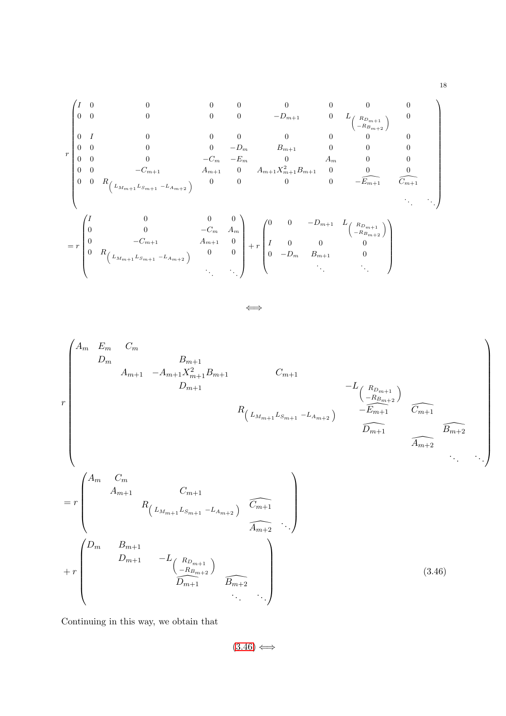$$
r \begin{pmatrix}\nI & 0 & 0 & 0 & 0 & 0 & 0 & 0 & 0 & 0 \\
0 & 0 & 0 & 0 & -D_{m+1} & 0 & L_{R_{D_{m+2}}} \\
0 & I & 0 & 0 & 0 & 0 & 0 & 0 & 0 \\
0 & 0 & 0 & 0 & -D_{m} & B_{m+1} & 0 & 0 & 0 \\
0 & 0 & 0 & -C_{m} & -E_{m} & 0 & A_{m} & 0 & 0 \\
0 & 0 & -C_{m+1} & A_{m+1} & 0 & A_{m+1}X_{m+1}^{2}B_{m+1} & 0 & 0 & 0 \\
0 & 0 & R_{L_{M_{m+1}}L_{S_{m+1}}-L_{A_{m+2}}} & 0 & 0 & 0 & 0 & -E_{m+1} & C_{m+1} \\
0 & 0 & 0 & -C_{m} & A_{m} & 0 & 0 & -E_{m+1} & C_{m+1} \\
0 & 0 & -C_{m+1} & A_{m+1} & 0 & 0 & 0 & 0 & 0 \\
0 & 0 & -C_{m+1} & A_{m+1} & 0 & 0 & 0 & 0 & 0 \\
0 & R_{L_{M_{m+1}}L_{S_{m+1}}-L_{A_{m+2}}} & 0 & 0 & 0 & 0 & 0 & 0 \\
0 & 0 & 0 & 0 & 0 & 0 & 0 & 0 \\
0 & -D_{m} & B_{m+1} & 0 & 0 & 0 & 0\n\end{pmatrix}
$$

⇐⇒

r A<sup>m</sup> E<sup>m</sup> C<sup>m</sup> D<sup>m</sup> Bm+1 Am+1 −Am+1X<sup>2</sup> <sup>m</sup>+1Bm+1 Cm+1 Dm+1 −L <sup>R</sup>Dm+1 <sup>−</sup>RBm+2 R <sup>L</sup>Mm+1LSm+1 <sup>−</sup>LAm+2 <sup>−</sup>E\m+1 <sup>C</sup>\m+1 <sup>D</sup>\m+1 \ <sup>B</sup>\m+2 Am+2 . . . . . . = r A<sup>m</sup> C<sup>m</sup> Am+1 Cm+1 R <sup>L</sup>Mm+1LSm+1 <sup>−</sup>LAm+2 <sup>C</sup>\m+1 <sup>A</sup>\m+2 . . . + r D<sup>m</sup> Bm+1 Dm+1 −L <sup>R</sup>Dm+1 <sup>−</sup>RBm+2 <sup>D</sup>\m+1 <sup>B</sup>\m+2 . . . . . . (3.46)

Continuing in this way, we obtain that

<span id="page-17-0"></span> $(3.46) \Longleftrightarrow$  $(3.46) \Longleftrightarrow$  $(3.46) \Longleftrightarrow$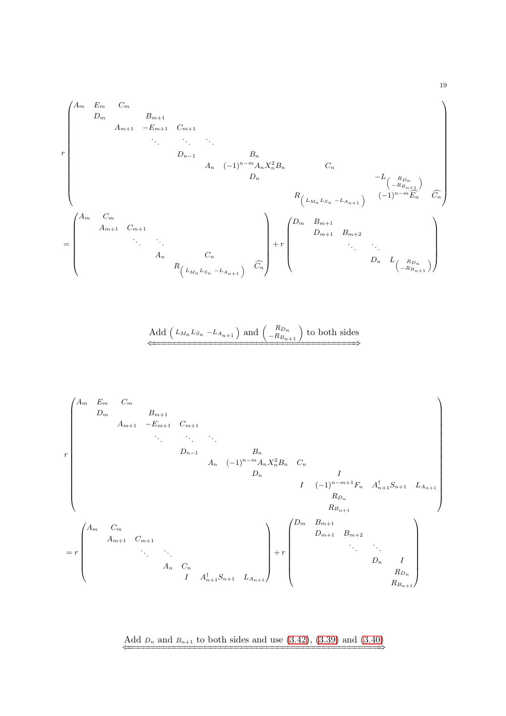r A<sup>m</sup> E<sup>m</sup> C<sup>m</sup> D<sup>m</sup> B<sup>m</sup>+1 A<sup>m</sup>+1 −E<sup>m</sup>+1 C<sup>m</sup>+1 . . . . . . . . . D<sup>n</sup>−<sup>1</sup> B<sup>n</sup> A<sup>n</sup> (−1)<sup>n</sup>−<sup>m</sup>AnX 2 <sup>n</sup>B<sup>n</sup> C<sup>n</sup> <sup>D</sup><sup>n</sup> <sup>−</sup>L <sup>R</sup>Dn <sup>−</sup>RBn+1 R <sup>L</sup>Mn <sup>L</sup>Sn <sup>−</sup>LAn+1 (−1)<sup>n</sup>−<sup>m</sup>Ec<sup>n</sup> <sup>C</sup>c<sup>n</sup> = A<sup>m</sup> C<sup>m</sup> A<sup>m</sup>+1 C<sup>m</sup>+1 . . . . . . A<sup>n</sup> C<sup>n</sup> R <sup>L</sup>Mn <sup>L</sup>Sn <sup>−</sup>LAn+1 <sup>C</sup>c<sup>n</sup> + r D<sup>m</sup> B<sup>m</sup>+1 D<sup>m</sup>+1 B<sup>m</sup>+2 . . . . . . <sup>D</sup><sup>n</sup> <sup>L</sup> <sup>R</sup>Dn <sup>−</sup>RBn+1 

Add 
$$
(L_{M_n}L_{S_n} - L_{A_{n+1}})
$$
 and  $\begin{pmatrix} R_{D_n} \\ -R_{B_{n+1}} \end{pmatrix}$  to both sides

r A<sup>m</sup> E<sup>m</sup> C<sup>m</sup> D<sup>m</sup> B<sup>m</sup>+1 A<sup>m</sup>+1 −E<sup>m</sup>+1 C<sup>m</sup>+1 . . . . . . . . . D<sup>n</sup>−<sup>1</sup> B<sup>n</sup> A<sup>n</sup> (−1)<sup>n</sup>−<sup>m</sup>AnX 2 <sup>n</sup>B<sup>n</sup> C<sup>n</sup> D<sup>n</sup> I I (−1)<sup>n</sup>−m+1F<sup>n</sup> A † <sup>n</sup>+1S<sup>n</sup>+1 L<sup>A</sup>n+1 R<sup>D</sup><sup>n</sup> R<sup>B</sup>n+1 = r A<sup>m</sup> C<sup>m</sup> A<sup>m</sup>+1 C<sup>m</sup>+1 . . . . . . A<sup>n</sup> C<sup>n</sup> I A† <sup>n</sup>+1S<sup>n</sup>+1 L<sup>A</sup>n+1 + r D<sup>m</sup> B<sup>m</sup>+1 D<sup>m</sup>+1 B<sup>m</sup>+2 . . . . . . D<sup>n</sup> I R<sup>D</sup><sup>n</sup> R<sup>B</sup>n+1 

Add  $D_n$  and  $B_{n+1}$  to both sides and use  $(3.42)$ ,  $(3.39)$  and  $(3.40)$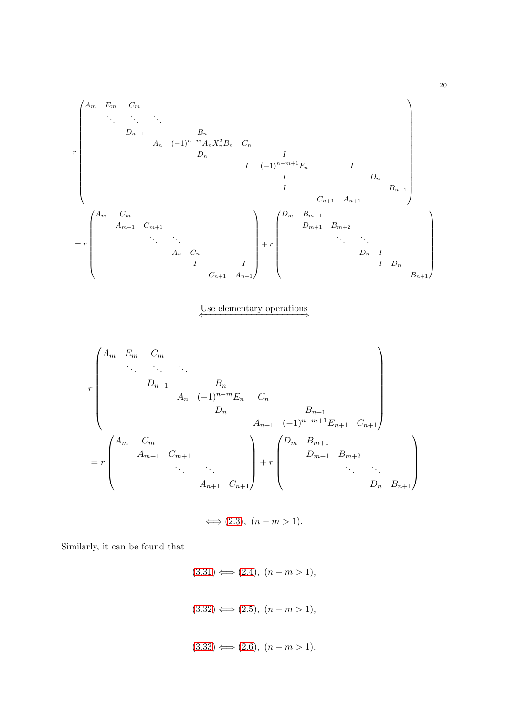$$
\begin{pmatrix}\nA_m & E_m & C_m \\
\vdots & \vdots & \vdots \\
D_{n-1} & B_n & \\
& D_n & A_n & (-1)^{n-m} A_n X_n^2 B_n & C_n\n\end{pmatrix}
$$
\n
$$
I \begin{pmatrix}\nI & D_n & & \\
I & D_n & & \\
& I & D_n \\
& & & I\n\end{pmatrix}
$$
\n
$$
C_{n+1} \begin{pmatrix}\nA_m & C_m & & \\
A_{m+1} & C_{m+1} & & \\
& \vdots & \vdots & \vdots \\
A_n & C_n & & \\
& & & I\n\end{pmatrix} + r \begin{pmatrix}\nD_m & B_{m+1} & & & \\
D_{m+1} & B_{m+2} & & \\
& \ddots & \vdots & \\
D_n & I & & \\
& & & & I\n\end{pmatrix}
$$
\n
$$
B_{n+1}
$$
\n
$$
B_{n+1}
$$

Use elementary operations

r A<sup>m</sup> E<sup>m</sup> C<sup>m</sup> . . . . . . . . . Dn−<sup>1</sup> B<sup>n</sup> A<sup>n</sup> (−1)n−mE<sup>n</sup> C<sup>n</sup> D<sup>n</sup> Bn+1 An+1 (−1)n−m+1En+1 Cn+1 = r A<sup>m</sup> C<sup>m</sup> Am+1 Cm+1 . . . . . . An+1 Cn+1 + r D<sup>m</sup> Bm+1 Dm+1 Bm+2 . . . . . . D<sup>n</sup> Bn+1 

 $\Longleftrightarrow$  (2.[3\)](#page-2-0),  $(n - m > 1)$ .

Similarly, it can be found that

 $(3.31) \Longleftrightarrow (2.4), (n-m > 1),$  $(3.31) \Longleftrightarrow (2.4), (n-m > 1),$  $(3.31) \Longleftrightarrow (2.4), (n-m > 1),$  $(3.31) \Longleftrightarrow (2.4), (n-m > 1),$  $(3.31) \Longleftrightarrow (2.4), (n-m > 1),$  $(3.32) \Longleftrightarrow (2.5), (n-m>1),$  $(3.32) \Longleftrightarrow (2.5), (n-m>1),$  $(3.32) \Longleftrightarrow (2.5), (n-m>1),$  $(3.32) \Longleftrightarrow (2.5), (n-m>1),$  $(3.32) \Longleftrightarrow (2.5), (n-m>1),$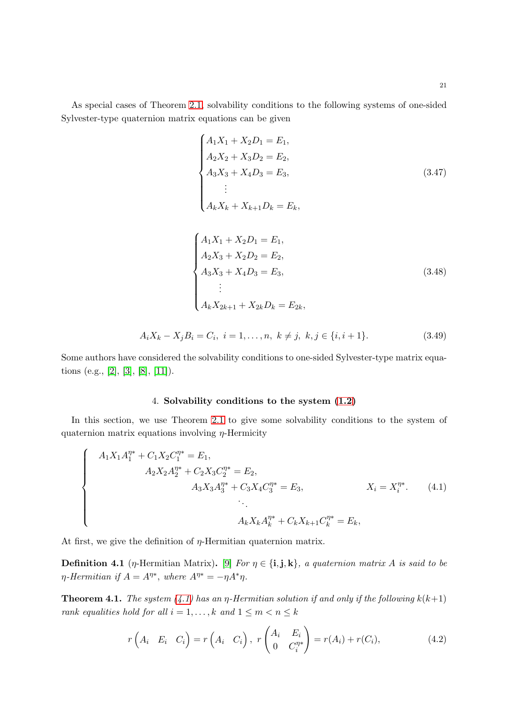As special cases of Theorem [2.1,](#page-1-0) solvability conditions to the following systems of one-sided Sylvester-type quaternion matrix equations can be given

$$
\begin{cases}\nA_1X_1 + X_2D_1 = E_1, \\
A_2X_2 + X_3D_2 = E_2, \\
A_3X_3 + X_4D_3 = E_3, \\
\vdots \\
A_kX_k + X_{k+1}D_k = E_k,\n\end{cases}
$$
\n(3.47)  
\n
$$
\begin{cases}\nA_1X_1 + X_2D_1 = E_1, \\
A_2X_3 + X_2D_2 = E_2, \\
A_3X_3 + X_4D_3 = E_3, \\
\vdots \\
A_kX_{2k+1} + X_{2k}D_k = E_{2k},\n\end{cases}
$$
\n(3.48)

$$
A_i X_k - X_j B_i = C_i, \ i = 1, \dots, n, \ k \neq j, \ k, j \in \{i, i+1\}. \tag{3.49}
$$

Some authors have considered the solvability conditions to one-sided Sylvester-type matrix equa-tions (e.g., [\[2\]](#page-21-3), [\[3\]](#page-21-4), [\[8\]](#page-22-3), [\[11\]](#page-22-4)).

### <span id="page-20-1"></span>4. Solvability conditions to the system [\(1.2\)](#page-1-1)

In this section, we use Theorem [2.1](#page-1-0) to give some solvability conditions to the system of quaternion matrix equations involving  $\eta$ -Hermicity

$$
\begin{cases}\nA_1 X_1 A_1^{\eta *} + C_1 X_2 C_1^{\eta *} = E_1, \\
A_2 X_2 A_2^{\eta *} + C_2 X_3 C_2^{\eta *} = E_2, \\
A_3 X_3 A_3^{\eta *} + C_3 X_4 C_3^{\eta *} = E_3, \\
\vdots \\
A_k X_k A_k^{\eta *} + C_k X_{k+1} C_k^{\eta *} = E_k,\n\end{cases} \quad X_i = X_i^{\eta *}. \tag{4.1}
$$

At first, we give the definition of  $\eta$ -Hermitian quaternion matrix.

**Definition 4.1** (*η*-Hermitian Matrix). [\[9\]](#page-22-5) *For*  $\eta \in \{\mathbf{i}, \mathbf{j}, \mathbf{k}\}\$ , a quaternion matrix A is said to be  $\eta$ -Hermitian if  $A = A^{\eta*}$ , where  $A^{\eta*} = -\eta A^* \eta$ .

<span id="page-20-0"></span>**Theorem 4.1.** *The system* [\(4.1\)](#page-20-1) *has an*  $\eta$ -Hermitian solution if and only if the following  $k(k+1)$ *rank equalities hold for all*  $i = 1, ..., k$  *and*  $1 \le m < n \le k$ 

<span id="page-20-2"></span>
$$
r\left(A_i \quad E_i \quad C_i\right) = r\left(A_i \quad C_i\right), \ r\left(A_i \quad E_i \atop 0 \quad C_i^{\eta*}\right) = r(A_i) + r(C_i), \tag{4.2}
$$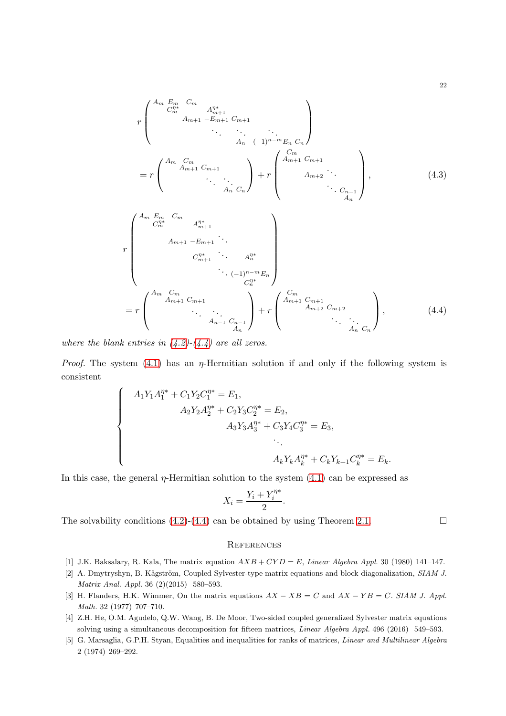$$
r\begin{pmatrix} A_m E_m & C_m & A_{m+1}^m & A_{m+1}^m \\ C_m^m & A_{m+1} - E_{m+1} & C_{m+1} \\ & \ddots & \ddots & \ddots \\ & & A_n & (-1)^{n-m} E_n \, C_n \end{pmatrix}
$$
\n
$$
= r \begin{pmatrix} A_m E_m & C_m & A_{m+1} & C_{m+1} \\ & A_{m+1} & C_{m+1} & A_{m+2} & \ddots \\ & \ddots & \ddots & \ddots \\ & & A_n C_n \end{pmatrix} + r \begin{pmatrix} C_m \\ & A_{m+1} & C_{m+1} \\ & A_{m+2} & \ddots \\ & & A_n \end{pmatrix}, \qquad (4.3)
$$
\n
$$
r \begin{pmatrix} A_m E_m & C_m & A_{m+1}^m & \ddots \\ & A_{m+1} - E_{m+1} & \ddots \\ & & \ddots & \ddots \\ & & & \ddots \\ & & & \ddots \\ & & & & \ddots \\ & & & & & \ddots \\ & & & & & & \ddots \\ & & & & & & \ddots \\ & & & & & & & \ddots \\ & & & & & & & \ddots \\ & & & & & & & \ddots \\ & & & & & & & \ddots \\ & & & & & & & \ddots \\ & & & & & & & & \ddots \\ & & & & & & & & \ddots \\ & & & & & & & & \ddots \\ & & & & & & & & \ddots \\ & & & & & & & & & \ddots \\ & &
$$

*where the blank entries in [\(4.2\)](#page-20-2)-[\(4.4\)](#page-21-5) are all zeros.*

*Proof.* The system  $(4.1)$  has an  $\eta$ -Hermitian solution if and only if the following system is consistent

$$
\begin{cases}\nA_1 Y_1 A_1^{\eta*} + C_1 Y_2 C_1^{\eta*} = E_1, \\
A_2 Y_2 A_2^{\eta*} + C_2 Y_3 C_2^{\eta*} = E_2, \\
A_3 Y_3 A_3^{\eta*} + C_3 Y_4 C_3^{\eta*} = E_3, \\
&\ddots \\
A_k Y_k A_k^{\eta*} + C_k Y_{k+1} C_k^{\eta*} = E_k.\n\end{cases}
$$

In this case, the general  $\eta$ -Hermitian solution to the system  $(4.1)$  can be expressed as

<span id="page-21-5"></span>
$$
X_i = \frac{Y_i + Y_i^{\eta*}}{2}.
$$

The solvability conditions [\(4.2\)](#page-20-2)-[\(4.4\)](#page-21-5) can be obtained by using Theorem [2.1.](#page-1-0)  $\Box$ 

#### **REFERENCES**

- <span id="page-21-3"></span><span id="page-21-0"></span>[1] J.K. Baksalary, R. Kala, The matrix equation  $AXB + CYD = E$ , Linear Algebra Appl. 30 (1980) 141-147.
- [2] A. Dmytryshyn, B. Kågström, Coupled Sylvester-type matrix equations and block diagonalization, SIAM J. Matrix Anal. Appl. 36 (2)(2015) 580–593.
- <span id="page-21-4"></span>[3] H. Flanders, H.K. Wimmer, On the matrix equations  $AX - XB = C$  and  $AX - YB = C$ . SIAM J. Appl. Math. 32 (1977) 707–710.
- <span id="page-21-1"></span>[4] Z.H. He, O.M. Agudelo, Q.W. Wang, B. De Moor, Two-sided coupled generalized Sylvester matrix equations solving using a simultaneous decomposition for fifteen matrices, Linear Algebra Appl. 496 (2016) 549–593.
- <span id="page-21-2"></span>[5] G. Marsaglia, G.P.H. Styan, Equalities and inequalities for ranks of matrices, *Linear and Multilinear Algebra* 2 (1974) 269–292.